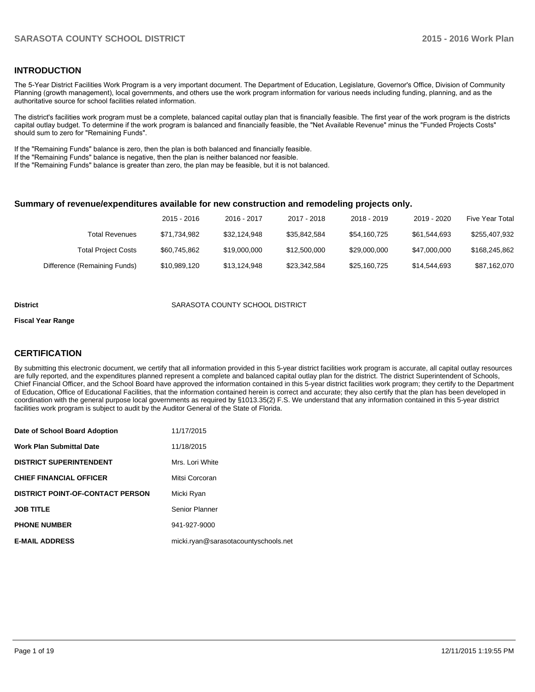### **INTRODUCTION**

The 5-Year District Facilities Work Program is a very important document. The Department of Education, Legislature, Governor's Office, Division of Community Planning (growth management), local governments, and others use the work program information for various needs including funding, planning, and as the authoritative source for school facilities related information.

The district's facilities work program must be a complete, balanced capital outlay plan that is financially feasible. The first year of the work program is the districts capital outlay budget. To determine if the work program is balanced and financially feasible, the "Net Available Revenue" minus the "Funded Projects Costs" should sum to zero for "Remaining Funds".

If the "Remaining Funds" balance is zero, then the plan is both balanced and financially feasible.

If the "Remaining Funds" balance is negative, then the plan is neither balanced nor feasible.

If the "Remaining Funds" balance is greater than zero, the plan may be feasible, but it is not balanced.

#### **Summary of revenue/expenditures available for new construction and remodeling projects only.**

|                              | $2015 - 2016$ | 2016 - 2017  | 2017 - 2018  | 2018 - 2019  | 2019 - 2020  | <b>Five Year Total</b> |
|------------------------------|---------------|--------------|--------------|--------------|--------------|------------------------|
| Total Revenues               | \$71.734.982  | \$32.124.948 | \$35.842.584 | \$54,160,725 | \$61.544.693 | \$255,407,932          |
| <b>Total Project Costs</b>   | \$60,745,862  | \$19,000,000 | \$12,500,000 | \$29,000,000 | \$47,000,000 | \$168,245,862          |
| Difference (Remaining Funds) | \$10,989,120  | \$13.124.948 | \$23,342,584 | \$25,160,725 | \$14,544,693 | \$87,162,070           |

#### **District** SARASOTA COUNTY SCHOOL DISTRICT

#### **Fiscal Year Range**

# **CERTIFICATION**

By submitting this electronic document, we certify that all information provided in this 5-year district facilities work program is accurate, all capital outlay resources are fully reported, and the expenditures planned represent a complete and balanced capital outlay plan for the district. The district Superintendent of Schools, Chief Financial Officer, and the School Board have approved the information contained in this 5-year district facilities work program; they certify to the Department of Education, Office of Educational Facilities, that the information contained herein is correct and accurate; they also certify that the plan has been developed in coordination with the general purpose local governments as required by §1013.35(2) F.S. We understand that any information contained in this 5-year district facilities work program is subject to audit by the Auditor General of the State of Florida.

| Date of School Board Adoption           | 11/17/2015                           |
|-----------------------------------------|--------------------------------------|
| <b>Work Plan Submittal Date</b>         | 11/18/2015                           |
| <b>DISTRICT SUPERINTENDENT</b>          | Mrs. Lori White                      |
| <b>CHIEF FINANCIAL OFFICER</b>          | Mitsi Corcoran                       |
| <b>DISTRICT POINT-OF-CONTACT PERSON</b> | Micki Ryan                           |
| <b>JOB TITLE</b>                        | Senior Planner                       |
| <b>PHONE NUMBER</b>                     | 941-927-9000                         |
| <b>E-MAIL ADDRESS</b>                   | micki.ryan@sarasotacountyschools.net |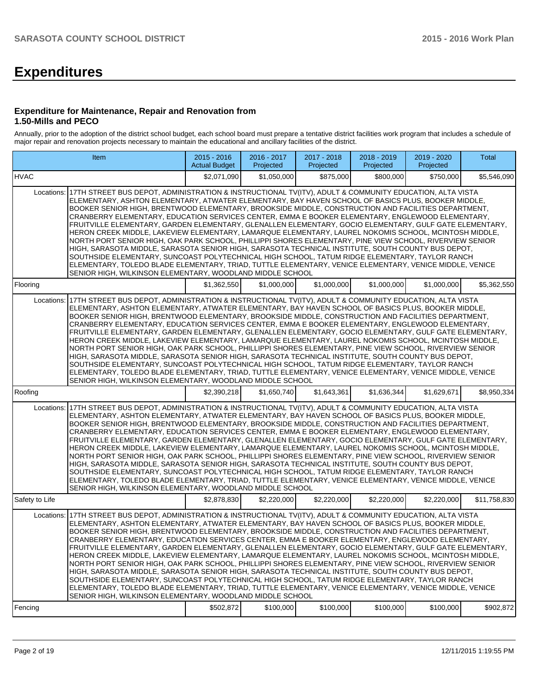# **Expenditures**

#### **Expenditure for Maintenance, Repair and Renovation from 1.50-Mills and PECO**

Annually, prior to the adoption of the district school budget, each school board must prepare a tentative district facilities work program that includes a schedule of major repair and renovation projects necessary to maintain the educational and ancillary facilities of the district.

| Item                                                                                                                                                                                                                                                                                                                                                                                                                                                                                                                                                                                                                                                                                                                                                                                                                                                                                                                                                                                                                                                                                                                                                  | $2015 - 2016$<br><b>Actual Budget</b> | 2016 - 2017<br>Projected | 2017 - 2018<br>Projected | 2018 - 2019<br>Projected | 2019 - 2020<br>Projected | <b>Total</b> |  |  |  |  |  |
|-------------------------------------------------------------------------------------------------------------------------------------------------------------------------------------------------------------------------------------------------------------------------------------------------------------------------------------------------------------------------------------------------------------------------------------------------------------------------------------------------------------------------------------------------------------------------------------------------------------------------------------------------------------------------------------------------------------------------------------------------------------------------------------------------------------------------------------------------------------------------------------------------------------------------------------------------------------------------------------------------------------------------------------------------------------------------------------------------------------------------------------------------------|---------------------------------------|--------------------------|--------------------------|--------------------------|--------------------------|--------------|--|--|--|--|--|
| <b>HVAC</b>                                                                                                                                                                                                                                                                                                                                                                                                                                                                                                                                                                                                                                                                                                                                                                                                                                                                                                                                                                                                                                                                                                                                           | \$2,071,090                           | \$1,050,000              | \$875,000                | \$800,000                | \$750,000                | \$5,546,090  |  |  |  |  |  |
| 17TH STREET BUS DEPOT, ADMINISTRATION & INSTRUCTIONAL TV(ITV), ADULT & COMMUNITY EDUCATION, ALTA VISTA<br>Locations:<br>ELEMENTARY, ASHTON ELEMENTARY, ATWATER ELEMENTARY, BAY HAVEN SCHOOL OF BASICS PLUS, BOOKER MIDDLE,<br>BOOKER SENIOR HIGH, BRENTWOOD ELEMENTARY, BROOKSIDE MIDDLE, CONSTRUCTION AND FACILITIES DEPARTMENT.<br>CRANBERRY ELEMENTARY, EDUCATION SERVICES CENTER, EMMA E BOOKER ELEMENTARY, ENGLEWOOD ELEMENTARY,<br>FRUITVILLE ELEMENTARY, GARDEN ELEMENTARY, GLENALLEN ELEMENTARY, GOCIO ELEMENTARY, GULF GATE ELEMENTARY,<br>HERON CREEK MIDDLE, LAKEVIEW ELEMENTARY, LAMARQUE ELEMENTARY, LAUREL NOKOMIS SCHOOL, MCINTOSH MIDDLE,<br>NORTH PORT SENIOR HIGH, OAK PARK SCHOOL, PHILLIPPI SHORES ELEMENTARY, PINE VIEW SCHOOL, RIVERVIEW SENIOR<br>HIGH, SARASOTA MIDDLE, SARASOTA SENIOR HIGH, SARASOTA TECHNICAL INSTITUTE, SOUTH COUNTY BUS DEPOT,<br>SOUTHSIDE ELEMENTARY, SUNCOAST POLYTECHNICAL HIGH SCHOOL, TATUM RIDGE ELEMENTARY, TAYLOR RANCH<br>ELEMENTARY, TOLEDO BLADE ELEMENTARY, TRIAD, TUTTLE ELEMENTARY, VENICE ELEMENTARY, VENICE MIDDLE, VENICE<br>SENIOR HIGH. WILKINSON ELEMENTARY. WOODLAND MIDDLE SCHOOL |                                       |                          |                          |                          |                          |              |  |  |  |  |  |
| Flooring                                                                                                                                                                                                                                                                                                                                                                                                                                                                                                                                                                                                                                                                                                                                                                                                                                                                                                                                                                                                                                                                                                                                              | \$1,362,550                           | \$1,000,000              | \$1,000,000              | \$1,000,000              | \$1,000,000              | \$5,362,550  |  |  |  |  |  |
| 17TH STREET BUS DEPOT, ADMINISTRATION & INSTRUCTIONAL TV(ITV), ADULT & COMMUNITY EDUCATION, ALTA VISTA<br>Locations:<br>ELEMENTARY, ASHTON ELEMENTARY, ATWATER ELEMENTARY, BAY HAVEN SCHOOL OF BASICS PLUS, BOOKER MIDDLE,<br>BOOKER SENIOR HIGH, BRENTWOOD ELEMENTARY, BROOKSIDE MIDDLE, CONSTRUCTION AND FACILITIES DEPARTMENT,<br>CRANBERRY ELEMENTARY, EDUCATION SERVICES CENTER, EMMA E BOOKER ELEMENTARY, ENGLEWOOD ELEMENTARY,<br>FRUITVILLE ELEMENTARY. GARDEN ELEMENTARY. GLENALLEN ELEMENTARY. GOCIO ELEMENTARY. GULF GATE ELEMENTARY.<br>HERON CREEK MIDDLE, LAKEVIEW ELEMENTARY, LAMARQUE ELEMENTARY, LAUREL NOKOMIS SCHOOL, MCINTOSH MIDDLE,<br>NORTH PORT SENIOR HIGH, OAK PARK SCHOOL, PHILLIPPI SHORES ELEMENTARY, PINE VIEW SCHOOL, RIVERVIEW SENIOR<br>HIGH, SARASOTA MIDDLE, SARASOTA SENIOR HIGH, SARASOTA TECHNICAL INSTITUTE, SOUTH COUNTY BUS DEPOT,<br>SOUTHSIDE ELEMENTARY, SUNCOAST POLYTECHNICAL HIGH SCHOOL, TATUM RIDGE ELEMENTARY, TAYLOR RANCH<br>ELEMENTARY, TOLEDO BLADE ELEMENTARY, TRIAD, TUTTLE ELEMENTARY, VENICE ELEMENTARY, VENICE MIDDLE, VENICE<br>SENIOR HIGH, WILKINSON ELEMENTARY, WOODLAND MIDDLE SCHOOL |                                       |                          |                          |                          |                          |              |  |  |  |  |  |
| Roofing                                                                                                                                                                                                                                                                                                                                                                                                                                                                                                                                                                                                                                                                                                                                                                                                                                                                                                                                                                                                                                                                                                                                               | \$2.390.218                           | \$1,650,740              | \$1,643,361              | \$1,636,344              | \$1,629,671              | \$8,950,334  |  |  |  |  |  |
| 17TH STREET BUS DEPOT, ADMINISTRATION & INSTRUCTIONAL TV(ITV), ADULT & COMMUNITY EDUCATION, ALTA VISTA<br>Locations:<br>ELEMENTARY, ASHTON ELEMENTARY, ATWATER ELEMENTARY, BAY HAVEN SCHOOL OF BASICS PLUS, BOOKER MIDDLE,<br>BOOKER SENIOR HIGH, BRENTWOOD ELEMENTARY, BROOKSIDE MIDDLE, CONSTRUCTION AND FACILITIES DEPARTMENT,<br>CRANBERRY ELEMENTARY, EDUCATION SERVICES CENTER, EMMA E BOOKER ELEMENTARY, ENGLEWOOD ELEMENTARY,<br>FRUITVILLE ELEMENTARY, GARDEN ELEMENTARY, GLENALLEN ELEMENTARY, GOCIO ELEMENTARY, GULF GATE ELEMENTARY,<br>HERON CREEK MIDDLE, LAKEVIEW ELEMENTARY, LAMARQUE ELEMENTARY, LAUREL NOKOMIS SCHOOL, MCINTOSH MIDDLE,<br>NORTH PORT SENIOR HIGH, OAK PARK SCHOOL, PHILLIPPI SHORES ELEMENTARY, PINE VIEW SCHOOL, RIVERVIEW SENIOR<br>HIGH, SARASOTA MIDDLE, SARASOTA SENIOR HIGH, SARASOTA TECHNICAL INSTITUTE, SOUTH COUNTY BUS DEPOT,<br>SOUTHSIDE ELEMENTARY, SUNCOAST POLYTECHNICAL HIGH SCHOOL, TATUM RIDGE ELEMENTARY, TAYLOR RANCH<br>ELEMENTARY, TOLEDO BLADE ELEMENTARY, TRIAD, TUTTLE ELEMENTARY, VENICE ELEMENTARY, VENICE MIDDLE, VENICE<br>SENIOR HIGH, WILKINSON ELEMENTARY, WOODLAND MIDDLE SCHOOL |                                       |                          |                          |                          |                          |              |  |  |  |  |  |
| Safety to Life                                                                                                                                                                                                                                                                                                                                                                                                                                                                                                                                                                                                                                                                                                                                                                                                                                                                                                                                                                                                                                                                                                                                        | \$2,878,830                           | \$2,220,000              | \$2,220,000              | \$2,220,000              | \$2,220,000              | \$11,758,830 |  |  |  |  |  |
| 17TH STREET BUS DEPOT, ADMINISTRATION & INSTRUCTIONAL TV(ITV), ADULT & COMMUNITY EDUCATION, ALTA VISTA<br>Locations:<br>ELEMENTARY, ASHTON ELEMENTARY, ATWATER ELEMENTARY, BAY HAVEN SCHOOL OF BASICS PLUS, BOOKER MIDDLE,<br>BOOKER SENIOR HIGH, BRENTWOOD ELEMENTARY, BROOKSIDE MIDDLE, CONSTRUCTION AND FACILITIES DEPARTMENT,<br>CRANBERRY ELEMENTARY, EDUCATION SERVICES CENTER, EMMA E BOOKER ELEMENTARY, ENGLEWOOD ELEMENTARY,<br>FRUITVILLE ELEMENTARY, GARDEN ELEMENTARY, GLENALLEN ELEMENTARY, GOCIO ELEMENTARY, GULF GATE ELEMENTARY,<br>HERON CREEK MIDDLE, LAKEVIEW ELEMENTARY, LAMARQUE ELEMENTARY, LAUREL NOKOMIS SCHOOL, MCINTOSH MIDDLE,<br>NORTH PORT SENIOR HIGH, OAK PARK SCHOOL, PHILLIPPI SHORES ELEMENTARY, PINE VIEW SCHOOL, RIVERVIEW SENIOR<br>HIGH, SARASOTA MIDDLE, SARASOTA SENIOR HIGH, SARASOTA TECHNICAL INSTITUTE, SOUTH COUNTY BUS DEPOT,<br>SOUTHSIDE ELEMENTARY, SUNCOAST POLYTECHNICAL HIGH SCHOOL, TATUM RIDGE ELEMENTARY, TAYLOR RANCH<br>ELEMENTARY, TOLEDO BLADE ELEMENTARY, TRIAD, TUTTLE ELEMENTARY, VENICE ELEMENTARY, VENICE MIDDLE, VENICE<br>SENIOR HIGH, WILKINSON ELEMENTARY, WOODLAND MIDDLE SCHOOL | \$502,872                             | \$100,000                |                          |                          |                          | \$902,872    |  |  |  |  |  |
| Fencing                                                                                                                                                                                                                                                                                                                                                                                                                                                                                                                                                                                                                                                                                                                                                                                                                                                                                                                                                                                                                                                                                                                                               |                                       |                          | \$100,000                | \$100,000                | \$100,000                |              |  |  |  |  |  |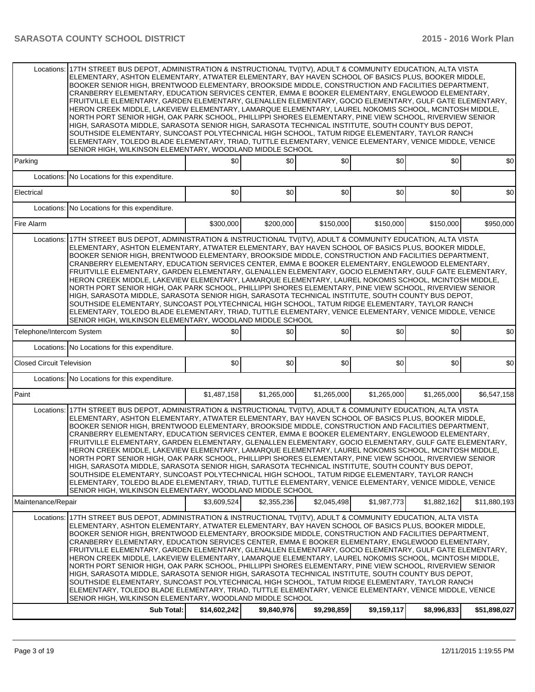|                                  | Locations: 17TH STREET BUS DEPOT. ADMINISTRATION & INSTRUCTIONAL TV(ITV). ADULT & COMMUNITY EDUCATION. ALTA VISTA<br>ELEMENTARY, ASHTON ELEMENTARY, ATWATER ELEMENTARY, BAY HAVEN SCHOOL OF BASICS PLUS, BOOKER MIDDLE,<br>BOOKER SENIOR HIGH. BRENTWOOD ELEMENTARY, BROOKSIDE MIDDLE, CONSTRUCTION AND FACILITIES DEPARTMENT.<br>CRANBERRY ELEMENTARY, EDUCATION SERVICES CENTER, EMMA E BOOKER ELEMENTARY, ENGLEWOOD ELEMENTARY.<br>FRUITVILLE ELEMENTARY, GARDEN ELEMENTARY, GLENALLEN ELEMENTARY, GOCIO ELEMENTARY, GULF GATE ELEMENTARY,<br>HERON CREEK MIDDLE, LAKEVIEW ELEMENTARY, LAMARQUE ELEMENTARY, LAUREL NOKOMIS SCHOOL, MCINTOSH MIDDLE,<br>NORTH PORT SENIOR HIGH, OAK PARK SCHOOL, PHILLIPPI SHORES ELEMENTARY, PINE VIEW SCHOOL, RIVERVIEW SENIOR<br>HIGH, SARASOTA MIDDLE, SARASOTA SENIOR HIGH, SARASOTA TECHNICAL INSTITUTE, SOUTH COUNTY BUS DEPOT,<br>SOUTHSIDE ELEMENTARY, SUNCOAST POLYTECHNICAL HIGH SCHOOL, TATUM RIDGE ELEMENTARY, TAYLOR RANCH<br>ELEMENTARY, TOLEDO BLADE ELEMENTARY, TRIAD, TUTTLE ELEMENTARY, VENICE ELEMENTARY, VENICE MIDDLE, VENICE<br>SENIOR HIGH, WILKINSON ELEMENTARY, WOODLAND MIDDLE SCHOOL |              |             |             |             |             |              |  |  |  |  |
|----------------------------------|----------------------------------------------------------------------------------------------------------------------------------------------------------------------------------------------------------------------------------------------------------------------------------------------------------------------------------------------------------------------------------------------------------------------------------------------------------------------------------------------------------------------------------------------------------------------------------------------------------------------------------------------------------------------------------------------------------------------------------------------------------------------------------------------------------------------------------------------------------------------------------------------------------------------------------------------------------------------------------------------------------------------------------------------------------------------------------------------------------------------------------------------------|--------------|-------------|-------------|-------------|-------------|--------------|--|--|--|--|
| Parking                          | \$0<br>\$0<br>\$0<br>\$0<br>\$0<br>\$0                                                                                                                                                                                                                                                                                                                                                                                                                                                                                                                                                                                                                                                                                                                                                                                                                                                                                                                                                                                                                                                                                                             |              |             |             |             |             |              |  |  |  |  |
| Locations:                       | No Locations for this expenditure.                                                                                                                                                                                                                                                                                                                                                                                                                                                                                                                                                                                                                                                                                                                                                                                                                                                                                                                                                                                                                                                                                                                 |              |             |             |             |             |              |  |  |  |  |
| Electrical                       |                                                                                                                                                                                                                                                                                                                                                                                                                                                                                                                                                                                                                                                                                                                                                                                                                                                                                                                                                                                                                                                                                                                                                    | \$0          | \$0         | \$0         | \$0         | \$0         | \$0          |  |  |  |  |
| Locations:                       | No Locations for this expenditure.                                                                                                                                                                                                                                                                                                                                                                                                                                                                                                                                                                                                                                                                                                                                                                                                                                                                                                                                                                                                                                                                                                                 |              |             |             |             |             |              |  |  |  |  |
| Fire Alarm                       |                                                                                                                                                                                                                                                                                                                                                                                                                                                                                                                                                                                                                                                                                                                                                                                                                                                                                                                                                                                                                                                                                                                                                    | \$300,000    | \$200,000   | \$150,000   | \$150,000   | \$150,000   | \$950,000    |  |  |  |  |
| Locations:                       | 17TH STREET BUS DEPOT. ADMINISTRATION & INSTRUCTIONAL TV(ITV). ADULT & COMMUNITY EDUCATION. ALTA VISTA<br>ELEMENTARY, ASHTON ELEMENTARY, ATWATER ELEMENTARY, BAY HAVEN SCHOOL OF BASICS PLUS, BOOKER MIDDLE,<br>BOOKER SENIOR HIGH, BRENTWOOD ELEMENTARY, BROOKSIDE MIDDLE, CONSTRUCTION AND FACILITIES DEPARTMENT.<br>CRANBERRY ELEMENTARY, EDUCATION SERVICES CENTER, EMMA E BOOKER ELEMENTARY, ENGLEWOOD ELEMENTARY,<br>FRUITVILLE ELEMENTARY, GARDEN ELEMENTARY, GLENALLEN ELEMENTARY, GOCIO ELEMENTARY, GULF GATE ELEMENTARY,<br>HERON CREEK MIDDLE, LAKEVIEW ELEMENTARY, LAMARQUE ELEMENTARY, LAUREL NOKOMIS SCHOOL, MCINTOSH MIDDLE,<br>NORTH PORT SENIOR HIGH, OAK PARK SCHOOL, PHILLIPPI SHORES ELEMENTARY, PINE VIEW SCHOOL, RIVERVIEW SENIOR<br>HIGH, SARASOTA MIDDLE, SARASOTA SENIOR HIGH, SARASOTA TECHNICAL INSTITUTE, SOUTH COUNTY BUS DEPOT,<br>SOUTHSIDE ELEMENTARY, SUNCOAST POLYTECHNICAL HIGH SCHOOL, TATUM RIDGE ELEMENTARY, TAYLOR RANCH<br>ELEMENTARY, TOLEDO BLADE ELEMENTARY, TRIAD, TUTTLE ELEMENTARY, VENICE ELEMENTARY, VENICE MIDDLE, VENICE<br>SENIOR HIGH, WILKINSON ELEMENTARY, WOODLAND MIDDLE SCHOOL            |              |             |             |             |             |              |  |  |  |  |
| Telephone/Intercom System        |                                                                                                                                                                                                                                                                                                                                                                                                                                                                                                                                                                                                                                                                                                                                                                                                                                                                                                                                                                                                                                                                                                                                                    | \$0          | \$0         | \$0         | \$0         | \$0         | \$0          |  |  |  |  |
|                                  | Locations: No Locations for this expenditure.                                                                                                                                                                                                                                                                                                                                                                                                                                                                                                                                                                                                                                                                                                                                                                                                                                                                                                                                                                                                                                                                                                      |              |             |             |             |             |              |  |  |  |  |
| <b>Closed Circuit Television</b> |                                                                                                                                                                                                                                                                                                                                                                                                                                                                                                                                                                                                                                                                                                                                                                                                                                                                                                                                                                                                                                                                                                                                                    | \$0          | \$0         | \$0         | \$0]        | \$0         | \$0          |  |  |  |  |
|                                  | Locations: No Locations for this expenditure.                                                                                                                                                                                                                                                                                                                                                                                                                                                                                                                                                                                                                                                                                                                                                                                                                                                                                                                                                                                                                                                                                                      |              |             |             |             |             |              |  |  |  |  |
| Paint                            |                                                                                                                                                                                                                                                                                                                                                                                                                                                                                                                                                                                                                                                                                                                                                                                                                                                                                                                                                                                                                                                                                                                                                    | \$1,487,158  | \$1,265,000 | \$1,265,000 | \$1,265,000 | \$1,265,000 | \$6,547,158  |  |  |  |  |
|                                  | Locations: 17TH STREET BUS DEPOT, ADMINISTRATION & INSTRUCTIONAL TV(ITV), ADULT & COMMUNITY EDUCATION, ALTA VISTA<br>ELEMENTARY, ASHTON ELEMENTARY, ATWATER ELEMENTARY, BAY HAVEN SCHOOL OF BASICS PLUS, BOOKER MIDDLE,<br>BOOKER SENIOR HIGH, BRENTWOOD ELEMENTARY, BROOKSIDE MIDDLE, CONSTRUCTION AND FACILITIES DEPARTMENT,<br>CRANBERRY ELEMENTARY, EDUCATION SERVICES CENTER, EMMA E BOOKER ELEMENTARY, ENGLEWOOD ELEMENTARY,<br>FRUITVILLE ELEMENTARY, GARDEN ELEMENTARY, GLENALLEN ELEMENTARY, GOCIO ELEMENTARY, GULF GATE ELEMENTARY,<br>HERON CREEK MIDDLE, LAKEVIEW ELEMENTARY, LAMARQUE ELEMENTARY, LAUREL NOKOMIS SCHOOL, MCINTOSH MIDDLE,<br>NORTH PORT SENIOR HIGH. OAK PARK SCHOOL. PHILLIPPI SHORES ELEMENTARY. PINE VIEW SCHOOL. RIVERVIEW SENIOR<br>HIGH, SARASOTA MIDDLE, SARASOTA SENIOR HIGH, SARASOTA TECHNICAL INSTITUTE, SOUTH COUNTY BUS DEPOT,<br>SOUTHSIDE ELEMENTARY, SUNCOAST POLYTECHNICAL HIGH SCHOOL, TATUM RIDGE ELEMENTARY, TAYLOR RANCH<br>ELEMENTARY, TOLEDO BLADE ELEMENTARY, TRIAD, TUTTLE ELEMENTARY, VENICE ELEMENTARY, VENICE MIDDLE, VENICE<br>SENIOR HIGH, WILKINSON ELEMENTARY, WOODLAND MIDDLE SCHOOL |              |             |             |             |             |              |  |  |  |  |
| Maintenance/Repair               |                                                                                                                                                                                                                                                                                                                                                                                                                                                                                                                                                                                                                                                                                                                                                                                                                                                                                                                                                                                                                                                                                                                                                    | \$3,609,524  | \$2,355,236 | \$2,045,498 | \$1,987,773 | \$1,882,162 | \$11,880,193 |  |  |  |  |
| Locations:                       | 17TH STREET BUS DEPOT, ADMINISTRATION & INSTRUCTIONAL TV(ITV), ADULT & COMMUNITY EDUCATION, ALTA VISTA<br>ELEMENTARY, ASHTON ELEMENTARY, ATWATER ELEMENTARY, BAY HAVEN SCHOOL OF BASICS PLUS, BOOKER MIDDLE,<br>BOOKER SENIOR HIGH, BRENTWOOD ELEMENTARY, BROOKSIDE MIDDLE, CONSTRUCTION AND FACILITIES DEPARTMENT,<br>CRANBERRY ELEMENTARY, EDUCATION SERVICES CENTER, EMMA E BOOKER ELEMENTARY, ENGLEWOOD ELEMENTARY,<br>FRUITVILLE ELEMENTARY, GARDEN ELEMENTARY, GLENALLEN ELEMENTARY, GOCIO ELEMENTARY, GULF GATE ELEMENTARY,<br>HERON CREEK MIDDLE, LAKEVIEW ELEMENTARY, LAMARQUE ELEMENTARY, LAUREL NOKOMIS SCHOOL, MCINTOSH MIDDLE,<br>NORTH PORT SENIOR HIGH, OAK PARK SCHOOL, PHILLIPPI SHORES ELEMENTARY, PINE VIEW SCHOOL, RIVERVIEW SENIOR<br>HIGH, SARASOTA MIDDLE, SARASOTA SENIOR HIGH, SARASOTA TECHNICAL INSTITUTE, SOUTH COUNTY BUS DEPOT,<br>SOUTHSIDE ELEMENTARY, SUNCOAST POLYTECHNICAL HIGH SCHOOL, TATUM RIDGE ELEMENTARY, TAYLOR RANCH<br>ELEMENTARY, TOLEDO BLADE ELEMENTARY, TRIAD, TUTTLE ELEMENTARY, VENICE ELEMENTARY, VENICE MIDDLE, VENICE<br>SENIOR HIGH, WILKINSON ELEMENTARY, WOODLAND MIDDLE SCHOOL            |              |             |             |             |             |              |  |  |  |  |
|                                  | Sub Total:                                                                                                                                                                                                                                                                                                                                                                                                                                                                                                                                                                                                                                                                                                                                                                                                                                                                                                                                                                                                                                                                                                                                         | \$14,602,242 | \$9,840,976 | \$9,298,859 | \$9,159,117 | \$8,996,833 | \$51,898,027 |  |  |  |  |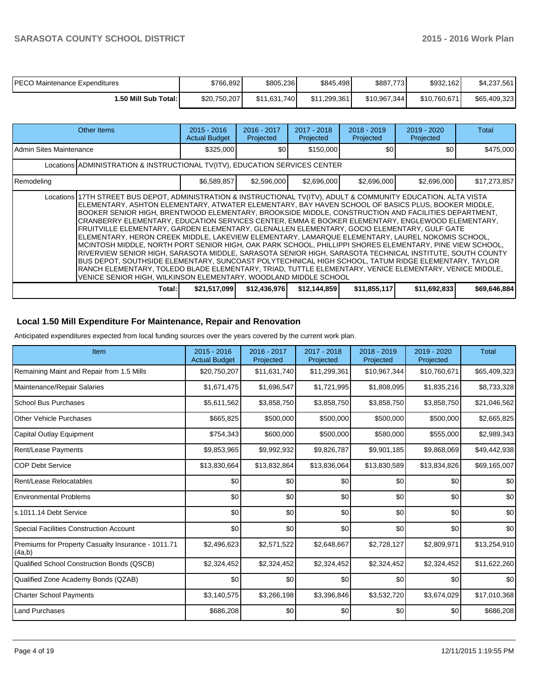| <b>PECO Maintenance Expenditures</b> | \$766,892    | \$805,236    | \$845,498    | \$887,773    | \$932,162    | \$4,237,561  |
|--------------------------------------|--------------|--------------|--------------|--------------|--------------|--------------|
| I.50 Mill Sub Total: I               | \$20,750,207 | \$11,631,740 | \$11.299.361 | \$10,967,344 | \$10.760.671 | \$65,409,323 |

| Other Items                                                                                                                                                                                                                                                                                                                                                                                                                                                                                                                                                                                                                                                                                                                                                                                                                                                                                                                                                                                                                                                                                                                                       |                                                                                                        | $2015 - 2016$<br><b>Actual Budget</b> | $2016 - 2017$<br>Projected | 2017 - 2018<br>Projected | $2018 - 2019$<br>Projected | 2019 - 2020<br>Projected | Total        |  |  |  |
|---------------------------------------------------------------------------------------------------------------------------------------------------------------------------------------------------------------------------------------------------------------------------------------------------------------------------------------------------------------------------------------------------------------------------------------------------------------------------------------------------------------------------------------------------------------------------------------------------------------------------------------------------------------------------------------------------------------------------------------------------------------------------------------------------------------------------------------------------------------------------------------------------------------------------------------------------------------------------------------------------------------------------------------------------------------------------------------------------------------------------------------------------|--------------------------------------------------------------------------------------------------------|---------------------------------------|----------------------------|--------------------------|----------------------------|--------------------------|--------------|--|--|--|
| Admin Sites Maintenance                                                                                                                                                                                                                                                                                                                                                                                                                                                                                                                                                                                                                                                                                                                                                                                                                                                                                                                                                                                                                                                                                                                           |                                                                                                        | \$325,000                             | \$0                        | \$150,000                | \$0 <sub>1</sub>           | \$0                      | \$475,000    |  |  |  |
| Locations ADMINISTRATION & INSTRUCTIONAL TV(ITV), EDUCATION SERVICES CENTER                                                                                                                                                                                                                                                                                                                                                                                                                                                                                                                                                                                                                                                                                                                                                                                                                                                                                                                                                                                                                                                                       |                                                                                                        |                                       |                            |                          |                            |                          |              |  |  |  |
| Remodeling                                                                                                                                                                                                                                                                                                                                                                                                                                                                                                                                                                                                                                                                                                                                                                                                                                                                                                                                                                                                                                                                                                                                        |                                                                                                        | \$6,589,857                           | \$2,596,000                | \$2,696,000              | \$2,696,000                | \$2,696,000              | \$17,273,857 |  |  |  |
| Locations 17TH STREET BUS DEPOT, ADMINISTRATION & INSTRUCTIONAL TV(ITV), ADULT & COMMUNITY EDUCATION, ALTA VISTA<br>ELEMENTARY, ASHTON ELEMENTARY, ATWATER ELEMENTARY, BAY HAVEN SCHOOL OF BASICS PLUS, BOOKER MIDDLE,<br>BOOKER SENIOR HIGH, BRENTWOOD ELEMENTARY, BROOKSIDE MIDDLE, CONSTRUCTION AND FACILITIES DEPARTMENT.<br>CRANBERRY ELEMENTARY, EDUCATION SERVICES CENTER, EMMA E BOOKER ELEMENTARY, ENGLEWOOD ELEMENTARY,<br>FRUITVILLE ELEMENTARY, GARDEN ELEMENTARY, GLENALLEN ELEMENTARY, GOCIO ELEMENTARY, GULF GATE<br>ELEMENTARY, HERON CREEK MIDDLE, LAKEVIEW ELEMENTARY, LAMARQUE ELEMENTARY, LAUREL NOKOMIS SCHOOL,<br>MCINTOSH MIDDLE, NORTH PORT SENIOR HIGH, OAK PARK SCHOOL, PHILLIPPI SHORES ELEMENTARY, PINE VIEW SCHOOL,<br>RIVERVIEW SENIOR HIGH, SARASOTA MIDDLE, SARASOTA SENIOR HIGH, SARASOTA TECHNICAL INSTITUTE, SOUTH COUNTY<br>BUS DEPOT, SOUTHSIDE ELEMENTARY, SUNCOAST POLYTECHNICAL HIGH SCHOOL, TATUM RIDGE ELEMENTARY, TAYLOR<br>RANCH ELEMENTARY, TOLEDO BLADE ELEMENTARY, TRIAD, TUTTLE ELEMENTARY, VENICE ELEMENTARY, VENICE MIDDLE,<br>VENICE SENIOR HIGH, WILKINSON ELEMENTARY, WOODLAND MIDDLE SCHOOL |                                                                                                        |                                       |                            |                          |                            |                          |              |  |  |  |
|                                                                                                                                                                                                                                                                                                                                                                                                                                                                                                                                                                                                                                                                                                                                                                                                                                                                                                                                                                                                                                                                                                                                                   | \$21,517,099<br>\$12,144,859<br>\$11,855,117<br>\$11,692,833<br>\$12,436,976<br>Total:<br>\$69,646,884 |                                       |                            |                          |                            |                          |              |  |  |  |

## **Local 1.50 Mill Expenditure For Maintenance, Repair and Renovation**

Anticipated expenditures expected from local funding sources over the years covered by the current work plan.

| Item                                                         | 2015 - 2016<br><b>Actual Budget</b> | 2016 - 2017<br>Projected | 2017 - 2018<br>Projected | 2018 - 2019<br>Projected | 2019 - 2020<br>Projected | <b>Total</b> |
|--------------------------------------------------------------|-------------------------------------|--------------------------|--------------------------|--------------------------|--------------------------|--------------|
| Remaining Maint and Repair from 1.5 Mills                    | \$20,750,207                        | \$11,631,740             | \$11,299,361             | \$10,967,344             | \$10,760,671             | \$65,409,323 |
| Maintenance/Repair Salaries                                  | \$1,671,475                         | \$1,696,547              | \$1,721,995              | \$1,808,095              | \$1,835,216              | \$8,733,328  |
| l School Bus Purchases                                       | \$5,611,562                         | \$3,858,750              | \$3,858,750              | \$3,858,750              | \$3,858,750              | \$21,046,562 |
| Other Vehicle Purchases                                      | \$665,825                           | \$500,000                | \$500,000                | \$500,000                | \$500,000                | \$2,665,825  |
| Capital Outlay Equipment                                     | \$754,343                           | \$600,000                | \$500,000                | \$580,000                | \$555,000                | \$2,989,343  |
| Rent/Lease Payments                                          | \$9,853,965                         | \$9,992,932              | \$9,826,787              | \$9,901,185              | \$9,868,069              | \$49,442,938 |
| <b>COP Debt Service</b>                                      | \$13,830,664                        | \$13,832,864             | \$13,836,064             | \$13,830,589             | \$13,834,826             | \$69,165,007 |
| Rent/Lease Relocatables                                      | \$0                                 | \$0                      | \$0                      | \$0                      | \$0                      | \$0          |
| <b>Environmental Problems</b>                                | \$0                                 | \$0                      | \$0                      | \$0                      | \$0                      | \$0          |
| ls.1011.14 Debt Service                                      | \$0                                 | \$0                      | \$0                      | \$0                      | \$0                      | \$0          |
| <b>Special Facilities Construction Account</b>               | \$0                                 | \$0                      | \$0                      | \$0                      | \$0                      | \$0          |
| Premiums for Property Casualty Insurance - 1011.71<br>(4a,b) | \$2,496,623                         | \$2,571,522              | \$2,648,667              | \$2,728,127              | \$2,809,971              | \$13,254,910 |
| Qualified School Construction Bonds (QSCB)                   | \$2,324,452                         | \$2,324,452              | \$2,324,452              | \$2,324,452              | \$2,324,452              | \$11,622,260 |
| Qualified Zone Academy Bonds (QZAB)                          | \$0                                 | \$0                      | \$0                      | \$0                      | \$0                      | \$0          |
| <b>Charter School Payments</b>                               | \$3,140,575                         | \$3,266,198              | \$3,396,846              | \$3,532,720              | \$3,674,029              | \$17,010,368 |
| <b>Land Purchases</b>                                        | \$686,208                           | \$0                      | \$0                      | \$0                      | \$0                      | \$686,208    |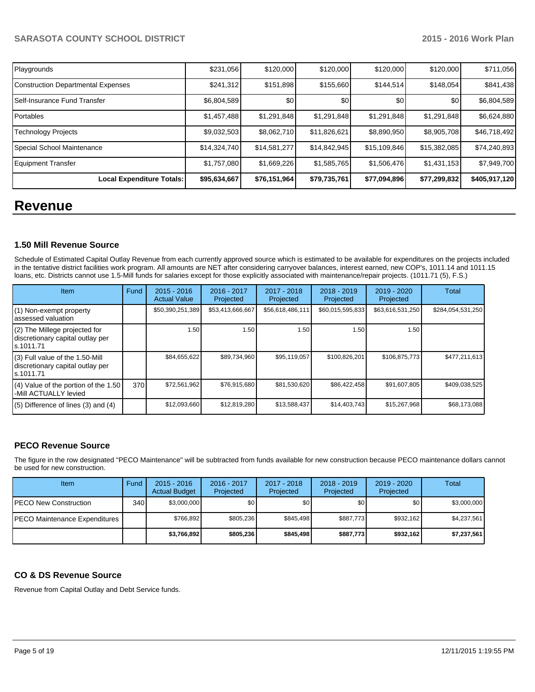| Playgrounds                               | \$231,056    | \$120,000        | \$120,000    | \$120,000    | \$120,000    | \$711,056     |
|-------------------------------------------|--------------|------------------|--------------|--------------|--------------|---------------|
| <b>Construction Departmental Expenses</b> | \$241,312    | \$151,898        | \$155,660    | \$144,514    | \$148,054    | \$841,438     |
| Self-Insurance Fund Transfer              | \$6,804,589  | \$0 <sub>0</sub> | \$0          | \$0          | \$0          | \$6,804,589   |
| Portables                                 | \$1,457,488  | \$1,291,848      | \$1,291,848  | \$1,291,848  | \$1,291,848  | \$6,624,880   |
| Technology Projects                       | \$9,032,503  | \$8,062,710      | \$11,826,621 | \$8,890,950  | \$8,905,708  | \$46,718,492  |
| Special School Maintenance                | \$14,324,740 | \$14,581,277     | \$14,842,945 | \$15,109,846 | \$15,382,085 | \$74,240,893  |
| <b>Equipment Transfer</b>                 | \$1,757,080  | \$1,669,226      | \$1,585,765  | \$1,506,476  | \$1,431,153  | \$7,949,700   |
| Local Expenditure Totals:                 | \$95,634,667 | \$76,151,964]    | \$79,735,761 | \$77,094,896 | \$77,299,832 | \$405,917,120 |

# **Revenue**

#### **1.50 Mill Revenue Source**

Schedule of Estimated Capital Outlay Revenue from each currently approved source which is estimated to be available for expenditures on the projects included in the tentative district facilities work program. All amounts are NET after considering carryover balances, interest earned, new COP's, 1011.14 and 1011.15 loans, etc. Districts cannot use 1.5-Mill funds for salaries except for those explicitly associated with maintenance/repair projects. (1011.71 (5), F.S.)

| Item                                                                              | Fund | $2015 - 2016$<br><b>Actual Value</b> | 2016 - 2017<br>Projected | 2017 - 2018<br>Projected | $2018 - 2019$<br>Projected | 2019 - 2020<br>Projected | Total             |
|-----------------------------------------------------------------------------------|------|--------------------------------------|--------------------------|--------------------------|----------------------------|--------------------------|-------------------|
| (1) Non-exempt property<br>lassessed valuation                                    |      | \$50,390,251,389                     | \$53,413,666,667         | \$56,618,486,111         | \$60,015,595,833           | \$63,616,531,250         | \$284,054,531,250 |
| $(2)$ The Millege projected for<br>discretionary capital outlay per<br>ls.1011.71 |      | 1.50                                 | 1.50                     | 1.50                     | 1.50                       | 1.50                     |                   |
| (3) Full value of the 1.50-Mill<br>discretionary capital outlay per<br>Is.1011.71 |      | \$84,655,622                         | \$89,734,960             | \$95,119,057             | \$100,826,201              | \$106,875,773            | \$477,211,613     |
| $(4)$ Value of the portion of the 1.50<br>-Mill ACTUALLY levied                   | 370  | \$72,561,962                         | \$76,915,680             | \$81,530,620             | \$86,422,458               | \$91,607,805             | \$409,038,525     |
| $(5)$ Difference of lines $(3)$ and $(4)$                                         |      | \$12,093,660                         | \$12,819,280             | \$13,588,437             | \$14,403,743               | \$15,267,968             | \$68,173,088      |

# **PECO Revenue Source**

The figure in the row designated "PECO Maintenance" will be subtracted from funds available for new construction because PECO maintenance dollars cannot be used for new construction.

| <b>Item</b>                          | Fund | $2015 - 2016$<br><b>Actual Budget</b> | 2016 - 2017<br>Projected | 2017 - 2018<br>Projected | $2018 - 2019$<br>Projected | 2019 - 2020<br>Projected | <b>Total</b> |
|--------------------------------------|------|---------------------------------------|--------------------------|--------------------------|----------------------------|--------------------------|--------------|
| <b>IPECO New Construction</b>        | 340  | \$3,000,000                           | \$0                      | \$0                      | \$0                        | \$0                      | \$3,000,000  |
| <b>PECO Maintenance Expenditures</b> |      | \$766.892                             | \$805.236                | \$845.498                | \$887.773                  | \$932.162                | \$4.237.561  |
|                                      |      | \$3,766,892                           | \$805,236                | \$845,498                | \$887.773                  | \$932,162                | \$7,237,561  |

# **CO & DS Revenue Source**

Revenue from Capital Outlay and Debt Service funds.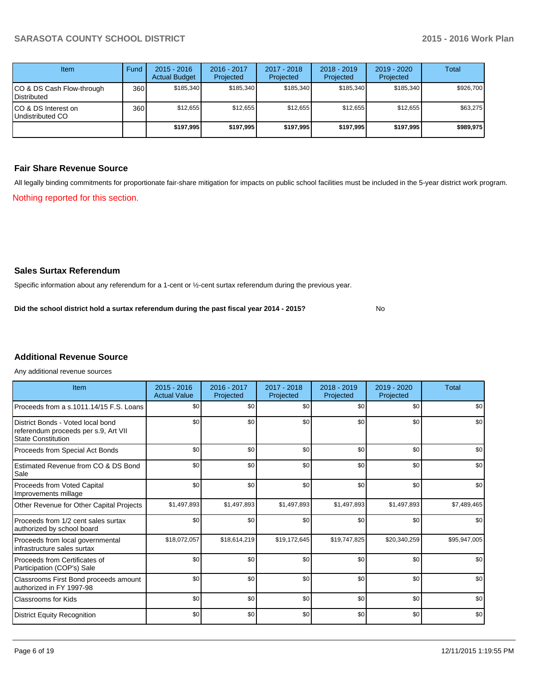| <b>Item</b>                                     | Fund | $2015 - 2016$<br><b>Actual Budget</b> | 2016 - 2017<br>Projected | 2017 - 2018<br>Projected | $2018 - 2019$<br>Projected | 2019 - 2020<br>Projected | Total     |
|-------------------------------------------------|------|---------------------------------------|--------------------------|--------------------------|----------------------------|--------------------------|-----------|
| CO & DS Cash Flow-through<br><b>Distributed</b> | 360  | \$185.340                             | \$185,340                | \$185.340                | \$185.340                  | \$185.340                | \$926,700 |
| CO & DS Interest on<br>Undistributed CO         | 360  | \$12.655                              | \$12,655                 | \$12,655                 | \$12,655                   | \$12.655                 | \$63,275  |
|                                                 |      | \$197.995                             | \$197,995                | \$197.995                | \$197.995                  | \$197.995                | \$989,975 |

### **Fair Share Revenue Source**

Nothing reported for this section. All legally binding commitments for proportionate fair-share mitigation for impacts on public school facilities must be included in the 5-year district work program.

# **Sales Surtax Referendum**

Specific information about any referendum for a 1-cent or ½-cent surtax referendum during the previous year.

No **Did the school district hold a surtax referendum during the past fiscal year 2014 - 2015?**

# **Additional Revenue Source**

Any additional revenue sources

| Item                                                                                                   | $2015 - 2016$<br><b>Actual Value</b> | 2016 - 2017<br>Projected | $2017 - 2018$<br>Projected | $2018 - 2019$<br>Projected | $2019 - 2020$<br>Projected | Total        |
|--------------------------------------------------------------------------------------------------------|--------------------------------------|--------------------------|----------------------------|----------------------------|----------------------------|--------------|
| Proceeds from a s.1011.14/15 F.S. Loans                                                                | \$0                                  | \$0                      | \$0                        | \$0                        | \$0                        | \$0          |
| District Bonds - Voted local bond<br>referendum proceeds per s.9, Art VII<br><b>State Constitution</b> | \$0                                  | \$0                      | \$0                        | \$0                        | \$0                        | \$0          |
| Proceeds from Special Act Bonds                                                                        | \$0                                  | \$0                      | \$0                        | \$0                        | \$0                        | \$0          |
| Estimated Revenue from CO & DS Bond<br>Sale                                                            | \$0                                  | \$0                      | \$0                        | \$0                        | \$0                        | \$0          |
| Proceeds from Voted Capital<br>Improvements millage                                                    | \$0                                  | \$0                      | \$0                        | \$0                        | \$0                        | \$0          |
| Other Revenue for Other Capital Projects                                                               | \$1,497,893                          | \$1,497,893              | \$1,497,893                | \$1,497,893                | \$1,497,893                | \$7,489,465  |
| Proceeds from 1/2 cent sales surtax<br>authorized by school board                                      | \$0                                  | \$0                      | \$0                        | \$0                        | \$0                        | \$0          |
| Proceeds from local governmental<br>infrastructure sales surtax                                        | \$18,072,057                         | \$18,614,219             | \$19,172,645               | \$19,747,825               | \$20,340,259               | \$95,947,005 |
| Proceeds from Certificates of<br>Participation (COP's) Sale                                            | \$0                                  | \$0                      | \$0                        | \$0                        | \$0                        | \$0          |
| Classrooms First Bond proceeds amount<br>authorized in FY 1997-98                                      | \$0                                  | \$0                      | \$0                        | \$0                        | \$0                        | \$0          |
| <b>Classrooms for Kids</b>                                                                             | \$0                                  | \$0                      | \$0                        | \$0                        | \$0                        | \$0          |
| <b>District Equity Recognition</b>                                                                     | \$0                                  | \$0                      | \$0                        | \$0                        | \$0                        | \$0          |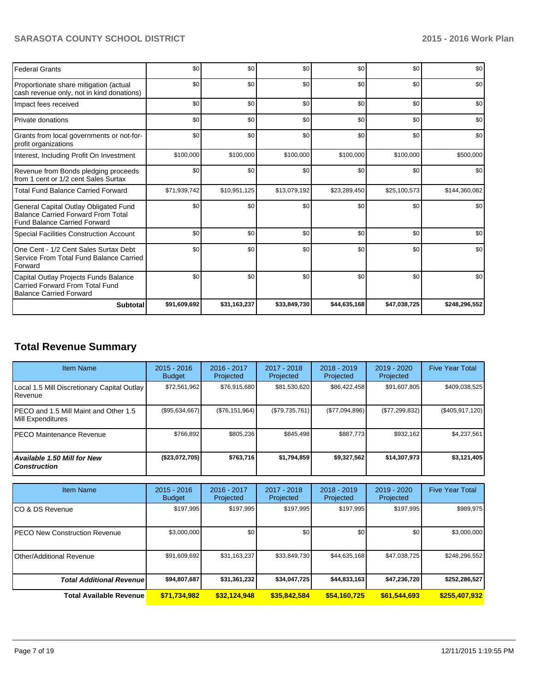| <b>Federal Grants</b>                                                                                                     | \$0          | \$0          | \$0          | \$0          | \$0          | \$0           |
|---------------------------------------------------------------------------------------------------------------------------|--------------|--------------|--------------|--------------|--------------|---------------|
| Proportionate share mitigation (actual<br>cash revenue only, not in kind donations)                                       | \$0          | \$0          | \$0          | \$0          | \$0          | \$0           |
| Impact fees received                                                                                                      | \$0          | \$0          | \$0          | \$0          | \$0          | \$0           |
| Private donations                                                                                                         | \$0          | \$0          | \$0          | \$0          | \$0          | \$0           |
| Grants from local governments or not-for-<br>profit organizations                                                         | \$0          | \$0          | \$0          | \$0          | \$0          | \$0           |
| Interest, Including Profit On Investment                                                                                  | \$100,000    | \$100,000    | \$100,000    | \$100,000    | \$100,000    | \$500,000     |
| Revenue from Bonds pledging proceeds<br>from 1 cent or 1/2 cent Sales Surtax                                              | \$0          | \$0          | \$0          | \$0          | \$0          | \$0           |
| <b>Total Fund Balance Carried Forward</b>                                                                                 | \$71,939,742 | \$10,951,125 | \$13,079,192 | \$23,289,450 | \$25,100,573 | \$144,360,082 |
| General Capital Outlay Obligated Fund<br><b>Balance Carried Forward From Total</b><br><b>Fund Balance Carried Forward</b> | \$0          | \$0          | \$0          | \$0          | \$0          | \$0           |
| <b>Special Facilities Construction Account</b>                                                                            | \$0          | \$0          | \$0          | \$0          | \$0          | \$0           |
| One Cent - 1/2 Cent Sales Surtax Debt<br>Service From Total Fund Balance Carried<br>Forward                               | \$0          | \$0          | \$0          | \$0          | \$0          | \$0           |
| Capital Outlay Projects Funds Balance<br>Carried Forward From Total Fund<br><b>Balance Carried Forward</b>                | \$0          | \$0          | \$0          | \$0          | \$0          | \$0           |
| <b>Subtotal</b>                                                                                                           | \$91,609,692 | \$31,163,237 | \$33,849,730 | \$44,635,168 | \$47,038,725 | \$248,296,552 |

# **Total Revenue Summary**

| <b>Item Name</b>                                           | $2015 - 2016$<br><b>Budget</b> | 2016 - 2017<br>Projected | 2017 - 2018<br>Projected | $2018 - 2019$<br>Projected | 2019 - 2020<br>Projected | <b>Five Year Total</b> |
|------------------------------------------------------------|--------------------------------|--------------------------|--------------------------|----------------------------|--------------------------|------------------------|
| Local 1.5 Mill Discretionary Capital Outlay<br>l Revenue   | \$72,561,962                   | \$76,915,680             | \$81,530,620             | \$86,422,458               | \$91,607,805             | \$409,038,525          |
| PECO and 1.5 Mill Maint and Other 1.5<br>Mill Expenditures | (S95, 634, 667)                | (S76, 151, 964)          | (\$79,735,761)           | (\$77,094,896)             | (S77, 299, 832)          | $(\$405,917,120)$      |
| IPECO Maintenance Revenue                                  | \$766.892                      | \$805,236                | \$845.498                | \$887.773                  | \$932,162                | \$4,237,561            |
| <b>Available 1.50 Mill for New</b><br><b>Construction</b>  | (\$23,072,705)                 | \$763.716                | \$1,794,859              | \$9,327,562                | \$14,307,973             | \$3,121,405            |

| <b>Item Name</b>                 | $2015 - 2016$<br><b>Budget</b> | $2016 - 2017$<br>Projected | 2017 - 2018<br>Projected | $2018 - 2019$<br>Projected | 2019 - 2020<br>Projected | <b>Five Year Total</b> |
|----------------------------------|--------------------------------|----------------------------|--------------------------|----------------------------|--------------------------|------------------------|
| ICO & DS Revenue                 | \$197,995                      | \$197,995                  | \$197,995                | \$197,995                  | \$197,995                | \$989,975              |
| IPECO New Construction Revenue   | \$3,000,000                    | \$0                        | \$0                      | \$0                        | \$0                      | \$3,000,000            |
| <b>Other/Additional Revenue</b>  | \$91,609,692                   | \$31.163.237               | \$33,849,730             | \$44,635,168               | \$47,038,725             | \$248,296,552          |
| <b>Total Additional Revenuel</b> | \$94,807,687                   | \$31,361,232               | \$34,047,725             | \$44,833,163               | \$47,236,720             | \$252,286,527          |
| <b>Total Available Revenue</b>   | \$71,734,982                   | \$32,124,948               | \$35,842,584             | \$54,160,725               | \$61,544,693             | \$255,407,932          |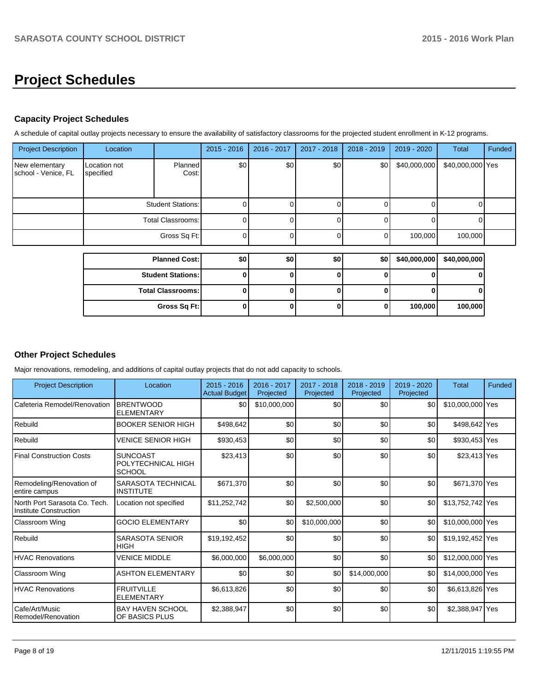# **Project Schedules**

# **Capacity Project Schedules**

A schedule of capital outlay projects necessary to ensure the availability of satisfactory classrooms for the projected student enrollment in K-12 programs.

| <b>Project Description</b>            | Location                  |                          | $2015 - 2016$ | 2016 - 2017 | 2017 - 2018  | $2018 - 2019$ | 2019 - 2020  | <b>Total</b>     | Funded |
|---------------------------------------|---------------------------|--------------------------|---------------|-------------|--------------|---------------|--------------|------------------|--------|
| New elementary<br>school - Venice, FL | Location not<br>specified | Planned<br>Cost:         | \$0           | \$0         | \$0]         | \$0           | \$40,000,000 | \$40,000,000 Yes |        |
|                                       | <b>Student Stations:</b>  |                          | 0             |             |              |               |              |                  |        |
|                                       |                           | <b>Total Classrooms:</b> | $\Omega$      |             | $\Omega$     |               |              |                  |        |
|                                       |                           | Gross Sq Ft:             | $\Omega$      |             | $\Omega$     |               | 100,000      | 100,000          |        |
|                                       |                           | <b>Planned Cost:</b>     | \$0           | \$0         | \$0          | \$0           | \$40,000,000 | \$40,000,000     |        |
|                                       |                           |                          |               |             |              |               |              |                  |        |
|                                       |                           | <b>Student Stations:</b> | $\bf{0}$      |             | 0            |               |              |                  |        |
|                                       |                           | <b>Total Classrooms:</b> | 0             | ŋ           | $\Omega$     |               |              |                  |        |
|                                       |                           | Gross Sq Ft:             | 0             |             | $\mathbf{0}$ |               | 100,000      | 100,000          |        |

# **Other Project Schedules**

Major renovations, remodeling, and additions of capital outlay projects that do not add capacity to schools.

| <b>Project Description</b>                              | Location                                               | $2015 - 2016$<br><b>Actual Budget</b> | 2016 - 2017<br>Projected | 2017 - 2018<br>Projected | $2018 - 2019$<br>Projected | $2019 - 2020$<br>Projected | <b>Total</b>     | Funded |
|---------------------------------------------------------|--------------------------------------------------------|---------------------------------------|--------------------------|--------------------------|----------------------------|----------------------------|------------------|--------|
| Cafeteria Remodel/Renovation                            | <b>BRENTWOOD</b><br><b>ELEMENTARY</b>                  | \$0                                   | \$10,000,000             | \$0                      | \$0                        | \$0                        | \$10,000,000 Yes |        |
| Rebuild                                                 | <b>BOOKER SENIOR HIGH</b>                              | \$498,642                             | \$0                      | \$0                      | \$0                        | \$0                        | \$498,642 Yes    |        |
| Rebuild                                                 | VENICE SENIOR HIGH                                     | \$930.453                             | \$0                      | \$0                      | \$0                        | \$0                        | \$930,453 Yes    |        |
| <b>Final Construction Costs</b>                         | <b>SUNCOAST</b><br>POLYTECHNICAL HIGH<br><b>SCHOOL</b> | \$23,413                              | \$0                      | \$0                      | \$0                        | \$0                        | \$23,413 Yes     |        |
| Remodeling/Renovation of<br>entire campus               | SARASOTA TECHNICAL<br><b>INSTITUTE</b>                 | \$671,370                             | \$0                      | \$0                      | \$0                        | \$0                        | \$671,370 Yes    |        |
| North Port Sarasota Co. Tech.<br>Institute Construction | Location not specified                                 | \$11,252,742                          | \$0                      | \$2,500,000              | \$0                        | \$0                        | \$13,752,742 Yes |        |
| Classroom Wing                                          | <b>GOCIO ELEMENTARY</b>                                | \$0                                   | \$0                      | \$10,000,000             | \$0                        | \$0                        | \$10,000,000 Yes |        |
| Rebuild                                                 | <b>SARASOTA SENIOR</b><br><b>HIGH</b>                  | \$19,192,452                          | \$0                      | \$0                      | \$0                        | \$0                        | \$19,192,452 Yes |        |
| <b>HVAC Renovations</b>                                 | <b>VENICE MIDDLE</b>                                   | \$6,000,000                           | \$6,000,000              | \$0                      | \$0                        | \$0                        | \$12,000,000 Yes |        |
| Classroom Wing                                          | <b>ASHTON ELEMENTARY</b>                               | \$0                                   | \$0                      | \$0                      | \$14,000,000               | \$0                        | \$14,000,000 Yes |        |
| <b>HVAC Renovations</b>                                 | <b>FRUITVILLE</b><br><b>ELEMENTARY</b>                 | \$6,613,826                           | \$0                      | \$0                      | \$0                        | \$0                        | \$6,613,826 Yes  |        |
| Cafe/Art/Music<br>Remodel/Renovation                    | <b>BAY HAVEN SCHOOL</b><br>OF BASICS PLUS              | \$2.388.947                           | \$0                      | \$0                      | \$0                        | \$0                        | \$2,388,947 Yes  |        |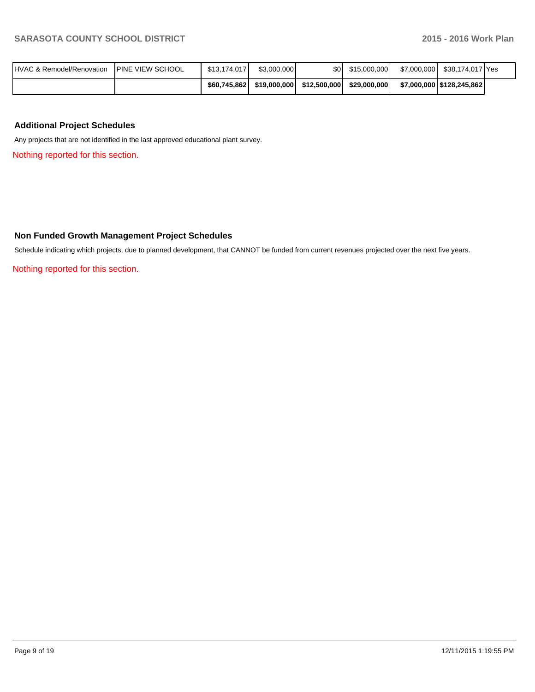| <b>IHVAC &amp; Remodel/Renovation</b> | <b>IPINE VIEW SCHOOL</b> | \$13.174.017 | \$3,000,000  | \$0 I        | \$15,000,000 | \$7,000,000 | \$38,174,017 Yes            |  |
|---------------------------------------|--------------------------|--------------|--------------|--------------|--------------|-------------|-----------------------------|--|
|                                       |                          | \$60,745,862 | \$19,000,000 | \$12,500,000 | \$29,000,000 |             | \$7,000,000   \$128,245,862 |  |

## **Additional Project Schedules**

Any projects that are not identified in the last approved educational plant survey.

Nothing reported for this section.

#### **Non Funded Growth Management Project Schedules**

Schedule indicating which projects, due to planned development, that CANNOT be funded from current revenues projected over the next five years.

Nothing reported for this section.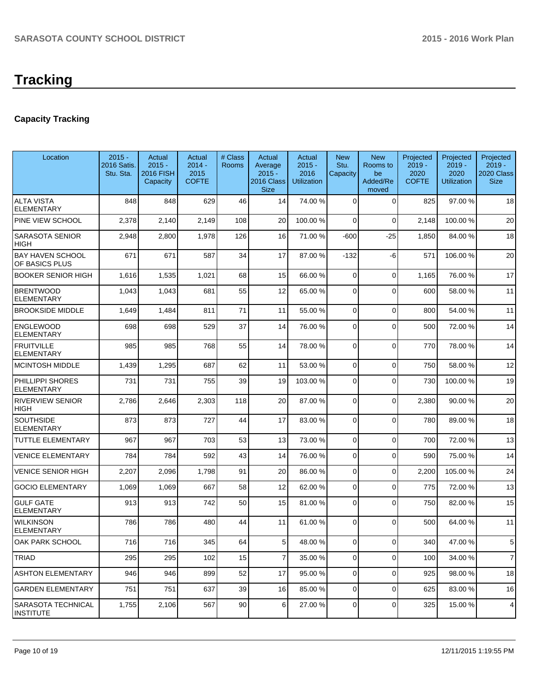# **Tracking**

# **Capacity Tracking**

| Location                                  | $2015 -$<br>2016 Satis.<br>Stu. Sta. | Actual<br>$2015 -$<br><b>2016 FISH</b><br>Capacity | Actual<br>$2014 -$<br>2015<br><b>COFTE</b> | # Class<br>Rooms | Actual<br>Average<br>$2015 -$<br>2016 Class<br><b>Size</b> | Actual<br>$2015 -$<br>2016<br><b>Utilization</b> | <b>New</b><br>Stu.<br>Capacity | <b>New</b><br>Rooms to<br>be<br>Added/Re<br>moved | Projected<br>$2019 -$<br>2020<br><b>COFTE</b> | Projected<br>$2019 -$<br>2020<br><b>Utilization</b> | Projected<br>$2019 -$<br>2020 Class<br><b>Size</b> |
|-------------------------------------------|--------------------------------------|----------------------------------------------------|--------------------------------------------|------------------|------------------------------------------------------------|--------------------------------------------------|--------------------------------|---------------------------------------------------|-----------------------------------------------|-----------------------------------------------------|----------------------------------------------------|
| <b>ALTA VISTA</b><br><b>ELEMENTARY</b>    | 848                                  | 848                                                | 629                                        | 46               | 14                                                         | 74.00 %                                          | 0                              | $\Omega$                                          | 825                                           | 97.00 %                                             | 18                                                 |
| PINE VIEW SCHOOL                          | 2,378                                | 2,140                                              | 2,149                                      | 108              | 20                                                         | 100.00%                                          | 0                              | $\Omega$                                          | 2,148                                         | 100.00%                                             | 20                                                 |
| SARASOTA SENIOR<br>HIGH                   | 2,948                                | 2,800                                              | 1,978                                      | 126              | 16                                                         | 71.00 %                                          | -600                           | -25                                               | 1,850                                         | 84.00 %                                             | 18                                                 |
| <b>BAY HAVEN SCHOOL</b><br>OF BASICS PLUS | 671                                  | 671                                                | 587                                        | 34               | 17                                                         | 87.00 %                                          | $-132$                         | -6                                                | 571                                           | 106.00%                                             | 20                                                 |
| <b>BOOKER SENIOR HIGH</b>                 | 1,616                                | 1,535                                              | 1,021                                      | 68               | 15                                                         | 66.00 %                                          | 0                              | $\Omega$                                          | 1,165                                         | 76.00 %                                             | 17                                                 |
| <b>BRENTWOOD</b><br>ELEMENTARY            | 1,043                                | 1,043                                              | 681                                        | 55               | 12                                                         | 65.00 %                                          | 0                              | $\Omega$                                          | 600                                           | 58.00 %                                             | 11                                                 |
| <b>BROOKSIDE MIDDLE</b>                   | 1,649                                | 1,484                                              | 811                                        | 71               | 11                                                         | 55.00 %                                          | 0                              | $\mathbf 0$                                       | 800                                           | 54.00 %                                             | 11                                                 |
| <b>ENGLEWOOD</b><br><b>ELEMENTARY</b>     | 698                                  | 698                                                | 529                                        | 37               | 14                                                         | 76.00 %                                          | 0                              | $\Omega$                                          | 500                                           | 72.00 %                                             | 14                                                 |
| <b>FRUITVILLE</b><br><b>ELEMENTARY</b>    | 985                                  | 985                                                | 768                                        | 55               | 14                                                         | 78.00 %                                          | 0                              | $\Omega$                                          | 770                                           | 78.00 %                                             | 14                                                 |
| <b>MCINTOSH MIDDLE</b>                    | 1,439                                | 1,295                                              | 687                                        | 62               | 11                                                         | 53.00 %                                          | 0                              | $\Omega$                                          | 750                                           | 58.00 %                                             | 12                                                 |
| PHILLIPPI SHORES<br>ELEMENTARY            | 731                                  | 731                                                | 755                                        | 39               | 19                                                         | 103.00 %                                         | 0                              | $\Omega$                                          | 730                                           | 100.00%                                             | 19                                                 |
| <b>RIVERVIEW SENIOR</b><br>HIGH           | 2,786                                | 2,646                                              | 2,303                                      | 118              | 20                                                         | 87.00 %                                          | 0                              | $\Omega$                                          | 2,380                                         | 90.00 %                                             | 20                                                 |
| <b>SOUTHSIDE</b><br><b>ELEMENTARY</b>     | 873                                  | 873                                                | 727                                        | 44               | 17                                                         | 83.00 %                                          | 0                              | $\Omega$                                          | 780                                           | 89.00 %                                             | 18                                                 |
| TUTTLE ELEMENTARY                         | 967                                  | 967                                                | 703                                        | 53               | 13                                                         | 73.00 %                                          | 0                              | $\Omega$                                          | 700                                           | 72.00 %                                             | 13                                                 |
| <b>VENICE ELEMENTARY</b>                  | 784                                  | 784                                                | 592                                        | 43               | 14                                                         | 76.00 %                                          | 0                              | $\Omega$                                          | 590                                           | 75.00 %                                             | 14                                                 |
| <b>VENICE SENIOR HIGH</b>                 | 2,207                                | 2,096                                              | 1,798                                      | 91               | 20                                                         | 86.00 %                                          | 0                              | $\Omega$                                          | 2,200                                         | 105.00%                                             | 24                                                 |
| <b>GOCIO ELEMENTARY</b>                   | 1,069                                | 1,069                                              | 667                                        | 58               | 12                                                         | 62.00 %                                          | 0                              | $\Omega$                                          | 775                                           | 72.00 %                                             | 13                                                 |
| <b>GULF GATE</b><br>ELEMENTARY            | 913                                  | 913                                                | 742                                        | 50               | 15                                                         | 81.00%                                           | 0                              | $\Omega$                                          | 750                                           | 82.00 %                                             | 15                                                 |
| <b>WILKINSON</b><br><b>ELEMENTARY</b>     | 786                                  | 786                                                | 480                                        | 44               | 11                                                         | 61.00%                                           | 0                              | $\Omega$                                          | 500                                           | 64.00%                                              | 11                                                 |
| OAK PARK SCHOOL                           | 716                                  | 716                                                | 345                                        | 64               | $5 \mid$                                                   | 48.00 %                                          | 01                             | 0                                                 | 340                                           | 47.00 %                                             | 5                                                  |
| <b>TRIAD</b>                              | 295                                  | 295                                                | 102                                        | 15               | $\overline{7}$                                             | 35.00 %                                          | $\overline{0}$                 | $\Omega$                                          | 100                                           | 34.00 %                                             | $\overline{7}$                                     |
| <b>ASHTON ELEMENTARY</b>                  | 946                                  | 946                                                | 899                                        | 52               | 17                                                         | 95.00 %                                          | $\overline{0}$                 | $\Omega$                                          | 925                                           | 98.00 %                                             | 18                                                 |
| <b>GARDEN ELEMENTARY</b>                  | 751                                  | 751                                                | 637                                        | 39               | 16                                                         | 85.00 %                                          | 0                              | $\Omega$                                          | 625                                           | 83.00 %                                             | 16                                                 |
| SARASOTA TECHNICAL<br><b>INSTITUTE</b>    | 1,755                                | 2,106                                              | 567                                        | 90               | 6 <sup>1</sup>                                             | 27.00 %                                          | 0                              | $\Omega$                                          | 325                                           | 15.00 %                                             | 4                                                  |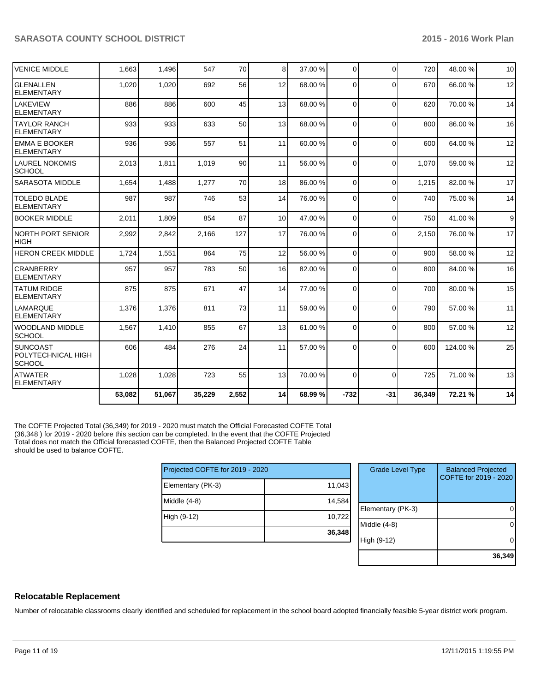| IVENICE MIDDLE                                   | 1,663  | 1,496  | 547    | 70    | 8 <sup>1</sup>  | 37.00 % | $\Omega$       | $\Omega$    | 720    | 48.00 % | 10 |
|--------------------------------------------------|--------|--------|--------|-------|-----------------|---------|----------------|-------------|--------|---------|----|
| lglenallen<br><b>IELEMENTARY</b>                 | 1,020  | 1,020  | 692    | 56    | 12              | 68.00 % | $\overline{0}$ | $\mathbf 0$ | 670    | 66.00 % | 12 |
| <b>LAKEVIEW</b><br><b>ELEMENTARY</b>             | 886    | 886    | 600    | 45    | 13              | 68.00 % | $\Omega$       | $\Omega$    | 620    | 70.00%  | 14 |
| ITAYLOR RANCH<br>IELEMENTARY                     | 933    | 933    | 633    | 50    | 13              | 68.00 % | $\Omega$       | $\Omega$    | 800    | 86.00 % | 16 |
| <b>EMMA E BOOKER</b><br>ELEMENTARY               | 936    | 936    | 557    | 51    | 11              | 60.00 % | $\Omega$       | $\Omega$    | 600    | 64.00%  | 12 |
| <b>LAUREL NOKOMIS</b><br>SCHOOL                  | 2,013  | 1,811  | 1,019  | 90    | 11              | 56.00 % | $\Omega$       | $\Omega$    | 1,070  | 59.00 % | 12 |
| <b>SARASOTA MIDDLE</b>                           | 1,654  | 1,488  | 1.277  | 70    | 18              | 86.00 % | $\Omega$       | $\mathbf 0$ | 1.215  | 82.00 % | 17 |
| <b>TOLEDO BLADE</b><br><b>IELEMENTARY</b>        | 987    | 987    | 746    | 53    | 14              | 76.00 % | $\Omega$       | $\Omega$    | 740    | 75.00 % | 14 |
| <b>BOOKER MIDDLE</b>                             | 2,011  | 1,809  | 854    | 87    | 10 <sup>1</sup> | 47.00 % | $\Omega$       | $\Omega$    | 750    | 41.00%  | 9  |
| INORTH PORT SENIOR<br>Ініgн                      | 2,992  | 2,842  | 2,166  | 127   | 17              | 76.00 % | $\Omega$       | $\Omega$    | 2,150  | 76.00 % | 17 |
| <b>HERON CREEK MIDDLE</b>                        | 1,724  | 1,551  | 864    | 75    | 12              | 56.00 % | $\Omega$       | $\Omega$    | 900    | 58.00 % | 12 |
| <b>CRANBERRY</b><br><b>IELEMENTARY</b>           | 957    | 957    | 783    | 50    | 16              | 82.00 % | $\Omega$       | $\Omega$    | 800    | 84.00%  | 16 |
| <b>ITATUM RIDGE</b><br>ELEMENTARY                | 875    | 875    | 671    | 47    | 14              | 77.00 % | $\Omega$       | $\Omega$    | 700    | 80.00%  | 15 |
| LAMARQUE<br><b>ELEMENTARY</b>                    | 1,376  | 1,376  | 811    | 73    | 11              | 59.00 % | $\Omega$       | $\Omega$    | 790    | 57.00 % | 11 |
| IWOODLAND MIDDLE<br>Ischool                      | 1,567  | 1,410  | 855    | 67    | 13              | 61.00 % | $\Omega$       | $\Omega$    | 800    | 57.00 % | 12 |
| Isuncoast<br>POLYTECHNICAL HIGH<br><b>SCHOOL</b> | 606    | 484    | 276    | 24    | 11              | 57.00 % | $\Omega$       | $\Omega$    | 600    | 124.00% | 25 |
| <b>ATWATER</b><br>ELEMENTARY                     | 1,028  | 1,028  | 723    | 55    | 13              | 70.00 % | $\Omega$       | $\Omega$    | 725    | 71.00%  | 13 |
|                                                  | 53,082 | 51,067 | 35,229 | 2,552 | 14              | 68.99 % | $-732$         | $-31$       | 36,349 | 72.21 % | 14 |

The COFTE Projected Total (36,349) for 2019 - 2020 must match the Official Forecasted COFTE Total (36,348 ) for 2019 - 2020 before this section can be completed. In the event that the COFTE Projected Total does not match the Official forecasted COFTE, then the Balanced Projected COFTE Table should be used to balance COFTE.

| Projected COFTE for 2019 - 2020 |        |  |  |  |  |  |
|---------------------------------|--------|--|--|--|--|--|
| Elementary (PK-3)               | 11,043 |  |  |  |  |  |
| Middle (4-8)                    | 14,584 |  |  |  |  |  |
| High (9-12)                     | 10,722 |  |  |  |  |  |
|                                 | 36,348 |  |  |  |  |  |

| <b>Grade Level Type</b> | <b>Balanced Projected</b><br>COFTE for 2019 - 2020 |
|-------------------------|----------------------------------------------------|
| Elementary (PK-3)       |                                                    |
| Middle $(4-8)$          |                                                    |
| High (9-12)             |                                                    |
|                         | 36,349                                             |

# **Relocatable Replacement**

Number of relocatable classrooms clearly identified and scheduled for replacement in the school board adopted financially feasible 5-year district work program.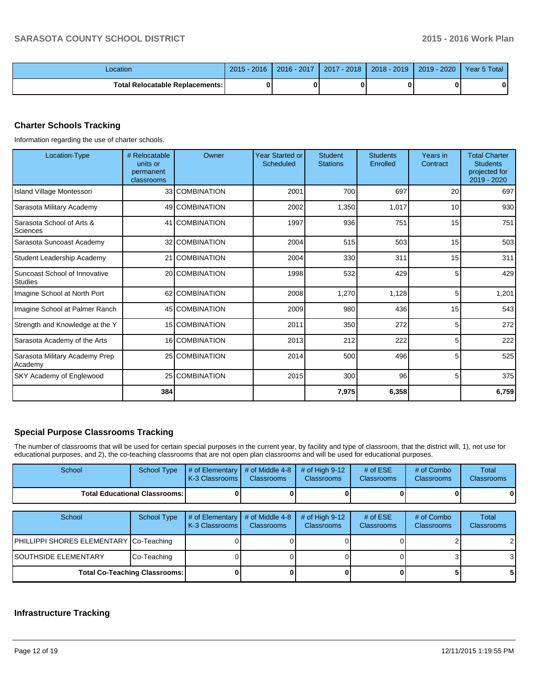| _ocation                          | 2016<br>2015 | 2016 - 2017 | $-2018$<br>2017 | $2018 - 2019$ | 2020<br>$2019 -$ | Year 5 Total |
|-----------------------------------|--------------|-------------|-----------------|---------------|------------------|--------------|
| Total Relocatable Replacements: I |              |             |                 |               |                  |              |

# **Charter Schools Tracking**

Information regarding the use of charter schools.

| Location-Type                                    | # Relocatable<br>units or<br>permanent<br>classrooms | Owner          | <b>Year Started or</b><br>Scheduled | <b>Student</b><br><b>Stations</b> | <b>Students</b><br>Enrolled | Years in<br>Contract | <b>Total Charter</b><br><b>Students</b><br>projected for<br>2019 - 2020 |
|--------------------------------------------------|------------------------------------------------------|----------------|-------------------------------------|-----------------------------------|-----------------------------|----------------------|-------------------------------------------------------------------------|
| <b>Island Village Montessori</b>                 |                                                      | 33 COMBINATION | 2001                                | 700                               | 697                         | 20                   | 697                                                                     |
| Sarasota Military Academy                        |                                                      | 49 COMBINATION | 2002                                | 1,350                             | 1,017                       | 10                   | 930                                                                     |
| Sarasota School of Arts &<br>Sciences            |                                                      | 41 COMBINATION | 1997                                | 936                               | 751                         | 15                   | 751                                                                     |
| Sarasota Suncoast Academy                        |                                                      | 32 COMBINATION | 2004                                | 515                               | 503                         | 15                   | 503                                                                     |
| Student Leadership Academy                       |                                                      | 21 COMBINATION | 2004                                | 330                               | 311                         | 15                   | 311                                                                     |
| Suncoast School of Innovative<br><b>S</b> tudies |                                                      | 20 COMBINATION | 1998                                | 532                               | 429                         | 5                    | 429                                                                     |
| Imagine School at North Port                     |                                                      | 62 COMBINATION | 2008                                | 1,270                             | 1,128                       | 5                    | 1,201                                                                   |
| Imagine School at Palmer Ranch                   |                                                      | 45 COMBINATION | 2009                                | 980                               | 436                         | 15                   | 543                                                                     |
| Strength and Knowledge at the Y                  |                                                      | 15 COMBINATION | 2011                                | 350                               | 272                         | 5                    | 272                                                                     |
| Sarasota Academy of the Arts                     |                                                      | 16 COMBINATION | 2013                                | 212                               | 222                         | 5                    | 222                                                                     |
| Sarasota Military Academy Prep<br>Academy        |                                                      | 25 COMBINATION | 2014                                | 500                               | 496                         | 5                    | 525                                                                     |
| SKY Academy of Englewood                         |                                                      | 25 COMBINATION | 2015                                | 300                               | 96                          | 5                    | 375                                                                     |
|                                                  | 384                                                  |                |                                     | 7,975                             | 6,358                       |                      | 6,759                                                                   |

#### **Special Purpose Classrooms Tracking**

The number of classrooms that will be used for certain special purposes in the current year, by facility and type of classroom, that the district will, 1), not use for educational purposes, and 2), the co-teaching classrooms that are not open plan classrooms and will be used for educational purposes.

| <b>School</b>                          | School Type | $\parallel$ # of Elementary $\parallel$ # of Middle 4-8 $\parallel$ # of High 9-12 $\parallel$<br>K-3 Classrooms | <b>Classrooms</b> | <b>Classrooms</b> | # of $ESE$<br><b>Classrooms</b> | # of Combo<br><b>Classrooms</b> | Total<br><b>Classrooms</b> |
|----------------------------------------|-------------|------------------------------------------------------------------------------------------------------------------|-------------------|-------------------|---------------------------------|---------------------------------|----------------------------|
| <b>Total Educational Classrooms: I</b> |             |                                                                                                                  |                   |                   |                                 | 0                               | $\mathbf{0}$               |
|                                        |             |                                                                                                                  |                   |                   |                                 |                                 |                            |

| School                                  | School Type                          | $\#$ of Elementary $\#$ of Middle 4-8<br>LK-3 Classrooms I | <b>Classrooms</b> | $\#$ of High 9-12<br><b>Classrooms</b> | # of $ESE$<br><b>Classrooms</b> | # of Combo<br><b>Classrooms</b> | Total<br><b>Classrooms</b> |
|-----------------------------------------|--------------------------------------|------------------------------------------------------------|-------------------|----------------------------------------|---------------------------------|---------------------------------|----------------------------|
| PHILLIPPI SHORES ELEMENTARY Co-Teaching |                                      |                                                            |                   |                                        |                                 |                                 | 2                          |
| <b>SOUTHSIDE ELEMENTARY</b>             | Co-Teaching                          |                                                            |                   |                                        |                                 |                                 | 3                          |
|                                         | <b>Total Co-Teaching Classrooms:</b> |                                                            |                   |                                        |                                 |                                 |                            |

# **Infrastructure Tracking**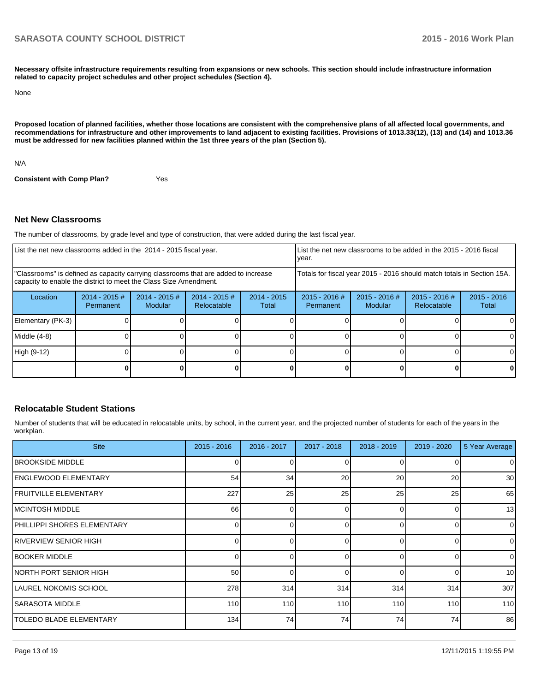**Necessary offsite infrastructure requirements resulting from expansions or new schools. This section should include infrastructure information related to capacity project schedules and other project schedules (Section 4).**

None

**Proposed location of planned facilities, whether those locations are consistent with the comprehensive plans of all affected local governments, and recommendations for infrastructure and other improvements to land adjacent to existing facilities. Provisions of 1013.33(12), (13) and (14) and 1013.36 must be addressed for new facilities planned within the 1st three years of the plan (Section 5).**

N/A

**Consistent with Comp Plan?** Yes

#### **Net New Classrooms**

The number of classrooms, by grade level and type of construction, that were added during the last fiscal year.

| List the net new classrooms added in the 2014 - 2015 fiscal year.                                                                                       |                               |                            |                                |                        | year.                        | List the net new classrooms to be added in the 2015 - 2016 fiscal      |                                |                        |
|---------------------------------------------------------------------------------------------------------------------------------------------------------|-------------------------------|----------------------------|--------------------------------|------------------------|------------------------------|------------------------------------------------------------------------|--------------------------------|------------------------|
| "Classrooms" is defined as capacity carrying classrooms that are added to increase<br>capacity to enable the district to meet the Class Size Amendment. |                               |                            |                                |                        |                              | Totals for fiscal year 2015 - 2016 should match totals in Section 15A. |                                |                        |
| Location                                                                                                                                                | $2014 - 2015 \#$<br>Permanent | $2014 - 2015$ #<br>Modular | $2014 - 2015$ #<br>Relocatable | $2014 - 2015$<br>Total | $2015 - 2016$ #<br>Permanent | 2015 - 2016 #<br>Modular                                               | $2015 - 2016$ #<br>Relocatable | $2015 - 2016$<br>Total |
| Elementary (PK-3)                                                                                                                                       |                               |                            |                                |                        |                              |                                                                        |                                |                        |
| Middle (4-8)                                                                                                                                            |                               |                            |                                |                        |                              |                                                                        |                                |                        |
| High (9-12)                                                                                                                                             |                               |                            |                                |                        |                              |                                                                        |                                |                        |
|                                                                                                                                                         |                               |                            |                                |                        |                              |                                                                        |                                | 0                      |

#### **Relocatable Student Stations**

Number of students that will be educated in relocatable units, by school, in the current year, and the projected number of students for each of the years in the workplan.

| <b>Site</b>                    | $2015 - 2016$ | $2016 - 2017$ | 2017 - 2018 | $2018 - 2019$    | 2019 - 2020 | 5 Year Average  |
|--------------------------------|---------------|---------------|-------------|------------------|-------------|-----------------|
| <b>IBROOKSIDE MIDDLE</b>       |               |               |             | $\Omega$         |             | $\overline{0}$  |
| <b>IENGLEWOOD ELEMENTARY</b>   | 54            | 34            | 20          | 20               | 20          | 30 <sup>1</sup> |
| <b>FRUITVILLE ELEMENTARY</b>   | 227           | 25            | 25          | 25               | 25          | 65              |
| <b>IMCINTOSH MIDDLE</b>        | 66            | <sup>0</sup>  | 0           | $\Omega$         | 0           | 13              |
| PHILLIPPI SHORES ELEMENTARY    |               |               | 0           | $\Omega$         | 0           | $\overline{0}$  |
| <b>RIVERVIEW SENIOR HIGH</b>   |               | U             |             | $\Omega$         | 0           | $\overline{0}$  |
| <b>IBOOKER MIDDLE</b>          |               | U             | 0           | $\Omega$         | 0           | $\Omega$        |
| INORTH PORT SENIOR HIGH        | 50            |               |             | $\Omega$         | O           | 10 <sup>1</sup> |
| LAUREL NOKOMIS SCHOOL          | 278           | 314           | 314         | 314              | 314         | 307             |
| ISARASOTA MIDDLE               | 110           | 110           | 110         | 110 <sup>1</sup> | 110         | 110             |
| <b>TOLEDO BLADE ELEMENTARY</b> | 134           | 74            | 74          | 74               | 74          | 86              |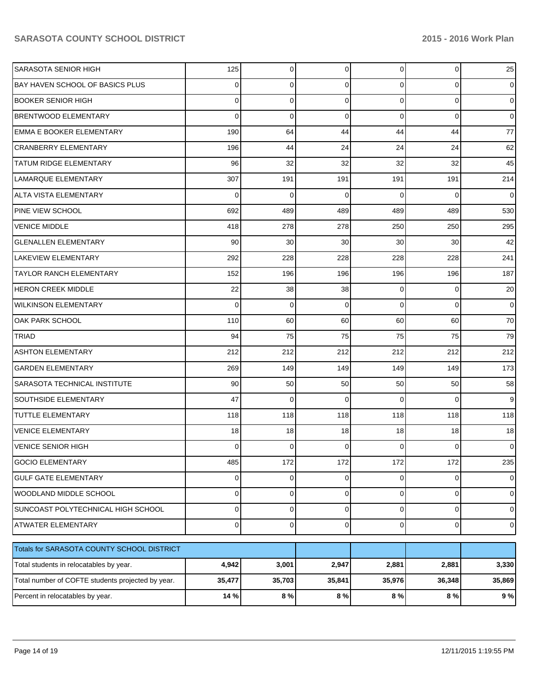| <b>SARASOTA SENIOR HIGH</b>                       | 125    | 0       | 0           | $\overline{0}$ | $\overline{0}$ | 25             |
|---------------------------------------------------|--------|---------|-------------|----------------|----------------|----------------|
| BAY HAVEN SCHOOL OF BASICS PLUS                   | 0      | 0       | 0           | $\overline{0}$ | 0              | $\overline{0}$ |
| BOOKER SENIOR HIGH                                | 0      | 0       | 0           | $\overline{0}$ | 0              | $\overline{0}$ |
| <b>BRENTWOOD ELEMENTARY</b>                       | 0      | 0       | $\mathbf 0$ | $\overline{0}$ | 0              | $\overline{0}$ |
| <b>EMMA E BOOKER ELEMENTARY</b>                   | 190    | 64      | 44          | 44             | 44             | 77             |
| <b>CRANBERRY ELEMENTARY</b>                       | 196    | 44      | 24          | 24             | 24             | 62             |
| <b>TATUM RIDGE ELEMENTARY</b>                     | 96     | 32      | 32          | 32             | 32             | 45             |
| LAMARQUE ELEMENTARY                               | 307    | 191     | 191         | 191            | 191            | 214            |
| ALTA VISTA ELEMENTARY                             | 0      | 0       | 0           | $\Omega$       | 0              | $\overline{0}$ |
| PINE VIEW SCHOOL                                  | 692    | 489     | 489         | 489            | 489            | 530            |
| <b>VENICE MIDDLE</b>                              | 418    | 278     | 278         | 250            | 250            | 295            |
| <b>GLENALLEN ELEMENTARY</b>                       | 90     | 30      | 30          | 30             | 30             | 42             |
| LAKEVIEW ELEMENTARY                               | 292    | 228     | 228         | 228            | 228            | 241            |
| <b>TAYLOR RANCH ELEMENTARY</b>                    | 152    | 196     | 196         | 196            | 196            | 187            |
| <b>HERON CREEK MIDDLE</b>                         | 22     | 38      | 38          | 0              | 0              | 20             |
| <b>WILKINSON ELEMENTARY</b>                       | 0      | 0       | $\mathbf 0$ | $\overline{0}$ | 0              | $\overline{0}$ |
| OAK PARK SCHOOL                                   | 110    | 60      | 60          | 60             | 60             | 70             |
| <b>TRIAD</b>                                      | 94     | 75      | 75          | 75             | 75             | 79             |
| <b>ASHTON ELEMENTARY</b>                          | 212    | 212     | 212         | 212            | 212            | 212            |
| <b>GARDEN ELEMENTARY</b>                          | 269    | 149     | 149         | 149            | 149            | 173            |
| SARASOTA TECHNICAL INSTITUTE                      | 90     | 50      | 50          | 50             | 50             | 58             |
| <b>SOUTHSIDE ELEMENTARY</b>                       | 47     | 0       | 0           | $\Omega$       | 0              | 9              |
| <b>TUTTLE ELEMENTARY</b>                          | 118    | 118     | 118         | 118            | 118            | 118            |
| <b>VENICE ELEMENTARY</b>                          | 18     | 18      | 18          | 18             | 18             | 18             |
| <b>VENICE SENIOR HIGH</b>                         | 0      | 0       | 0           | 0              | 0              | $\overline{0}$ |
| <b>GOCIO ELEMENTARY</b>                           | 485    | 172     | 172         | 172            | 172            | 235            |
| <b>GULF GATE ELEMENTARY</b>                       | 0      | 0       | $\mathbf 0$ | $\overline{0}$ | 0              | $\overline{0}$ |
| WOODLAND MIDDLE SCHOOL                            | 0      | 0       | 0           | $\overline{0}$ | 0              | $\overline{0}$ |
| SUNCOAST POLYTECHNICAL HIGH SCHOOL                | 0      | 0       | $\mathbf 0$ | $\overline{0}$ | 0              | $\overline{0}$ |
| <b>ATWATER ELEMENTARY</b>                         | 0      | 0       | $\mathbf 0$ | $\overline{0}$ | 0              | $\overline{0}$ |
| Totals for SARASOTA COUNTY SCHOOL DISTRICT        |        |         |             |                |                |                |
| Total students in relocatables by year.           | 4,942  | 3,001   | 2,947       | 2,881          | 2,881          | 3,330          |
| Total number of COFTE students projected by year. | 35,477 | 35,703  | 35,841      | 35,976         | 36,348         | 35,869         |
| Percent in relocatables by year.                  | 14 %   | $8\ \%$ | 8%          | 8 %            | 8%             | 9%             |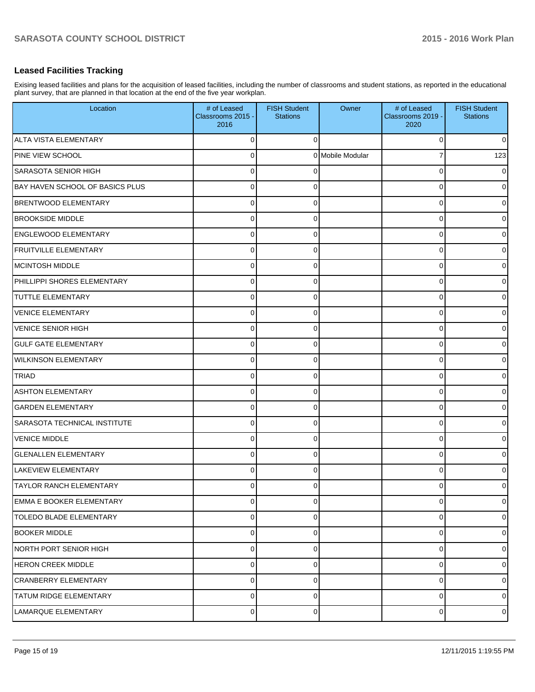# **Leased Facilities Tracking**

Exising leased facilities and plans for the acquisition of leased facilities, including the number of classrooms and student stations, as reported in the educational plant survey, that are planned in that location at the end of the five year workplan.

| Location                        | # of Leased<br>Classrooms 2015 -<br>2016 | <b>FISH Student</b><br><b>Stations</b> | Owner            | # of Leased<br>Classrooms 2019 -<br>2020 | <b>FISH Student</b><br><b>Stations</b> |
|---------------------------------|------------------------------------------|----------------------------------------|------------------|------------------------------------------|----------------------------------------|
| ALTA VISTA ELEMENTARY           | 0                                        | $\Omega$                               |                  | $\Omega$                                 | $\overline{0}$                         |
| <b>PINE VIEW SCHOOL</b>         | $\Omega$                                 |                                        | 0 Mobile Modular |                                          | 123                                    |
| SARASOTA SENIOR HIGH            | 0                                        |                                        |                  | $\Omega$                                 | $\overline{0}$                         |
| BAY HAVEN SCHOOL OF BASICS PLUS | 0                                        | 0                                      |                  | 0                                        | $\overline{0}$                         |
| <b>BRENTWOOD ELEMENTARY</b>     | 0                                        | 0                                      |                  | 0                                        | $\overline{0}$                         |
| <b>BROOKSIDE MIDDLE</b>         | 0                                        | 0                                      |                  | 0                                        | $\overline{0}$                         |
| <b>ENGLEWOOD ELEMENTARY</b>     | 0                                        | 0                                      |                  | 0                                        | $\overline{0}$                         |
| <b>FRUITVILLE ELEMENTARY</b>    | 0                                        | 0                                      |                  | 0                                        | $\overline{0}$                         |
| MCINTOSH MIDDLE                 | 0                                        | 0                                      |                  | 0                                        | $\overline{0}$                         |
| PHILLIPPI SHORES ELEMENTARY     | $\Omega$                                 | 0                                      |                  | 0                                        | $\overline{0}$                         |
| <b>TUTTLE ELEMENTARY</b>        | 0                                        | 0                                      |                  | 0                                        | $\overline{0}$                         |
| VENICE ELEMENTARY               | 0                                        | 0                                      |                  | 0                                        | $\overline{0}$                         |
| VENICE SENIOR HIGH              | 0                                        | 0                                      |                  | 0                                        | $\overline{0}$                         |
| <b>GULF GATE ELEMENTARY</b>     | 0                                        | 0                                      |                  | 0                                        | $\overline{0}$                         |
| <b>WILKINSON ELEMENTARY</b>     | 0                                        | 0                                      |                  | 0                                        | $\overline{0}$                         |
| <b>TRIAD</b>                    | 0                                        | 0                                      |                  | 0                                        | $\overline{0}$                         |
| <b>ASHTON ELEMENTARY</b>        | 0                                        | 0                                      |                  | 0                                        | $\overline{0}$                         |
| <b>GARDEN ELEMENTARY</b>        | $\Omega$                                 | 0                                      |                  | 0                                        | $\overline{0}$                         |
| SARASOTA TECHNICAL INSTITUTE    | 0                                        | 0                                      |                  | 0                                        | $\overline{0}$                         |
| VENICE MIDDLE                   | $\Omega$                                 | 0                                      |                  | 0                                        | $\overline{0}$                         |
| <b>GLENALLEN ELEMENTARY</b>     | 0                                        | 0                                      |                  | 0                                        | $\overline{0}$                         |
| <b>LAKEVIEW ELEMENTARY</b>      | 0                                        | 0                                      |                  | 0                                        | $\overline{0}$                         |
| <b>TAYLOR RANCH ELEMENTARY</b>  | 0                                        | 0                                      |                  | 0                                        | $\overline{0}$                         |
| EMMA E BOOKER ELEMENTARY        | $\mathbf 0$                              | 0                                      |                  | 0                                        | $\overline{0}$                         |
| TOLEDO BLADE ELEMENTARY         | 0                                        | 0                                      |                  | 0                                        | $\overline{0}$                         |
| <b>BOOKER MIDDLE</b>            | $\mathbf 0$                              | 0                                      |                  | 0                                        | $\overline{0}$                         |
| NORTH PORT SENIOR HIGH          | $\pmb{0}$                                | 0                                      |                  | 0                                        | $\overline{0}$                         |
| <b>HERON CREEK MIDDLE</b>       | $\mathbf 0$                              | 0                                      |                  | 0                                        | $\overline{0}$                         |
| CRANBERRY ELEMENTARY            | 0                                        | 0                                      |                  | 0                                        | $\overline{0}$                         |
| TATUM RIDGE ELEMENTARY          | $\mathbf 0$                              | 0                                      |                  | 0                                        | $\overline{0}$                         |
| LAMARQUE ELEMENTARY             | $\pmb{0}$                                | 0                                      |                  | 0                                        | $\overline{0}$                         |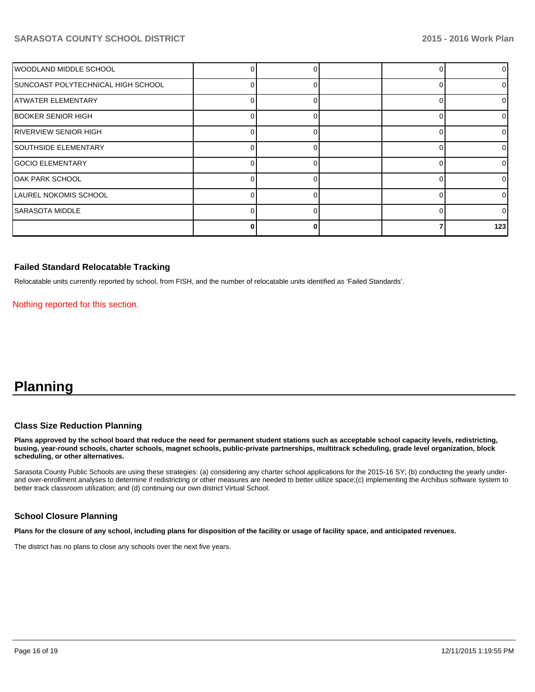| WOODLAND MIDDLE SCHOOL             |  |  | 0        |
|------------------------------------|--|--|----------|
| SUNCOAST POLYTECHNICAL HIGH SCHOOL |  |  | 0        |
| <b>ATWATER ELEMENTARY</b>          |  |  | 0        |
| BOOKER SENIOR HIGH                 |  |  | 0        |
| RIVERVIEW SENIOR HIGH              |  |  | 0        |
| <b>SOUTHSIDE ELEMENTARY</b>        |  |  | 0        |
| <b>GOCIO ELEMENTARY</b>            |  |  | $\Omega$ |
| OAK PARK SCHOOL                    |  |  | 0        |
| LAUREL NOKOMIS SCHOOL              |  |  | 0        |
| <b>SARASOTA MIDDLE</b>             |  |  | 0        |
|                                    |  |  | 123      |

#### **Failed Standard Relocatable Tracking**

Relocatable units currently reported by school, from FISH, and the number of relocatable units identified as 'Failed Standards'.

Nothing reported for this section.

# **Planning**

#### **Class Size Reduction Planning**

**Plans approved by the school board that reduce the need for permanent student stations such as acceptable school capacity levels, redistricting, busing, year-round schools, charter schools, magnet schools, public-private partnerships, multitrack scheduling, grade level organization, block scheduling, or other alternatives.**

Sarasota County Public Schools are using these strategies: (a) considering any charter school applications for the 2015-16 SY; (b) conducting the yearly underand over-enrollment analyses to determine if redistricting or other measures are needed to better utilize space;(c) implementing the Archibus software system to better track classroom utilization; and (d) continuing our own district Virtual School.

#### **School Closure Planning**

**Plans for the closure of any school, including plans for disposition of the facility or usage of facility space, and anticipated revenues.**

The district has no plans to close any schools over the next five years.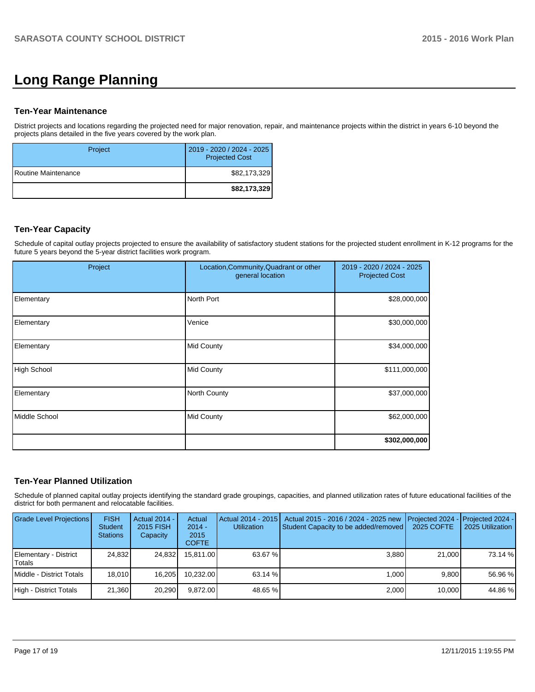# **Long Range Planning**

#### **Ten-Year Maintenance**

District projects and locations regarding the projected need for major renovation, repair, and maintenance projects within the district in years 6-10 beyond the projects plans detailed in the five years covered by the work plan.

| Project               | 2019 - 2020 / 2024 - 2025<br><b>Projected Cost</b> |
|-----------------------|----------------------------------------------------|
| I Routine Maintenance | \$82,173,329                                       |
|                       | \$82,173,329                                       |

## **Ten-Year Capacity**

Schedule of capital outlay projects projected to ensure the availability of satisfactory student stations for the projected student enrollment in K-12 programs for the future 5 years beyond the 5-year district facilities work program.

| Project       | Location, Community, Quadrant or other<br>general location | 2019 - 2020 / 2024 - 2025<br><b>Projected Cost</b> |
|---------------|------------------------------------------------------------|----------------------------------------------------|
| Elementary    | North Port                                                 | \$28,000,000                                       |
| Elementary    | Venice                                                     | \$30,000,000                                       |
| Elementary    | Mid County                                                 | \$34,000,000                                       |
| High School   | Mid County                                                 | \$111,000,000                                      |
| Elementary    | North County                                               | \$37,000,000                                       |
| Middle School | Mid County                                                 | \$62,000,000                                       |
|               |                                                            | \$302,000,000                                      |

# **Ten-Year Planned Utilization**

Schedule of planned capital outlay projects identifying the standard grade groupings, capacities, and planned utilization rates of future educational facilities of the district for both permanent and relocatable facilities.

| <b>Grade Level Projections</b>  | <b>FISH</b><br><b>Student</b><br><b>Stations</b> | Actual 2014 -<br>2015 FISH<br>Capacity | Actual<br>$2014 -$<br>2015<br><b>COFTE</b> | Actual 2014 - 2015<br><b>Utilization</b> | Actual 2015 - 2016 / 2024 - 2025 new<br>Student Capacity to be added/removed | <b>I</b> Projected 2024 - Projected 2024 -<br>2025 COFTE | 2025 Utilization |
|---------------------------------|--------------------------------------------------|----------------------------------------|--------------------------------------------|------------------------------------------|------------------------------------------------------------------------------|----------------------------------------------------------|------------------|
| Elementary - District<br>Totals | 24.832                                           | 24.832                                 | 15.811.00                                  | 63.67 %                                  | 3.880                                                                        | 21,000                                                   | 73.14 %          |
| Middle - District Totals        | 18.010                                           | 16.205                                 | 10.232.00                                  | 63.14 %                                  | 1.000                                                                        | 9.800                                                    | 56.96 %          |
| High - District Totals          | 21.360                                           | 20.290                                 | 9.872.00                                   | 48.65 %                                  | 2,000                                                                        | 10,000                                                   | 44.86 %          |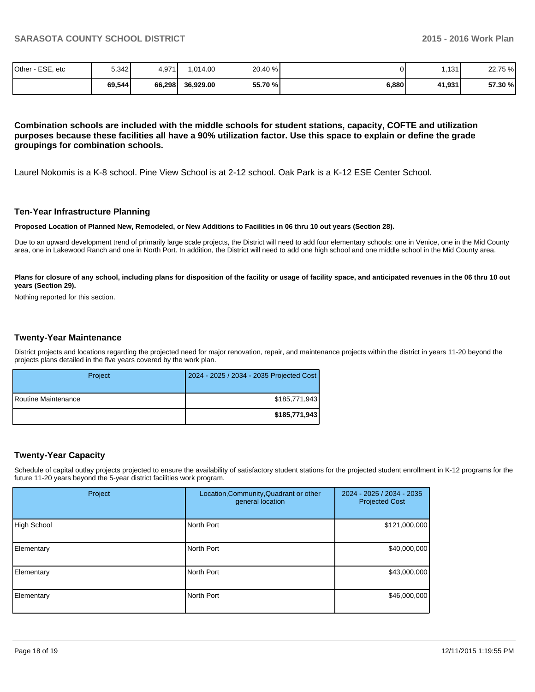| Other<br>ESE, etc | 5,342  | 4,971  | .014.00   | 20.40 % |       | .131   | 22.75 % |
|-------------------|--------|--------|-----------|---------|-------|--------|---------|
|                   | 69,544 | 66,298 | 36,929.00 | 55.70 % | 6,880 | 41,931 | 57.30 % |

**Combination schools are included with the middle schools for student stations, capacity, COFTE and utilization purposes because these facilities all have a 90% utilization factor. Use this space to explain or define the grade groupings for combination schools.**

Laurel Nokomis is a K-8 school. Pine View School is at 2-12 school. Oak Park is a K-12 ESE Center School.

#### **Ten-Year Infrastructure Planning**

**Proposed Location of Planned New, Remodeled, or New Additions to Facilities in 06 thru 10 out years (Section 28).**

Due to an upward development trend of primarily large scale projects, the District will need to add four elementary schools: one in Venice, one in the Mid County area, one in Lakewood Ranch and one in North Port. In addition, the District will need to add one high school and one middle school in the Mid County area.

Plans for closure of any school, including plans for disposition of the facility or usage of facility space, and anticipated revenues in the 06 thru 10 out **years (Section 29).**

Nothing reported for this section.

#### **Twenty-Year Maintenance**

District projects and locations regarding the projected need for major renovation, repair, and maintenance projects within the district in years 11-20 beyond the projects plans detailed in the five years covered by the work plan.

| Project             | 2024 - 2025 / 2034 - 2035 Projected Cost |
|---------------------|------------------------------------------|
| Routine Maintenance | \$185.771.943                            |
|                     | \$185,771,943                            |

#### **Twenty-Year Capacity**

Schedule of capital outlay projects projected to ensure the availability of satisfactory student stations for the projected student enrollment in K-12 programs for the future 11-20 years beyond the 5-year district facilities work program.

| Project     | Location, Community, Quadrant or other<br>general location | 2024 - 2025 / 2034 - 2035<br><b>Projected Cost</b> |
|-------------|------------------------------------------------------------|----------------------------------------------------|
| High School | North Port                                                 | \$121,000,000                                      |
| Elementary  | North Port                                                 | \$40,000,000                                       |
| Elementary  | North Port                                                 | \$43,000,000                                       |
| Elementary  | North Port                                                 | \$46,000,000                                       |